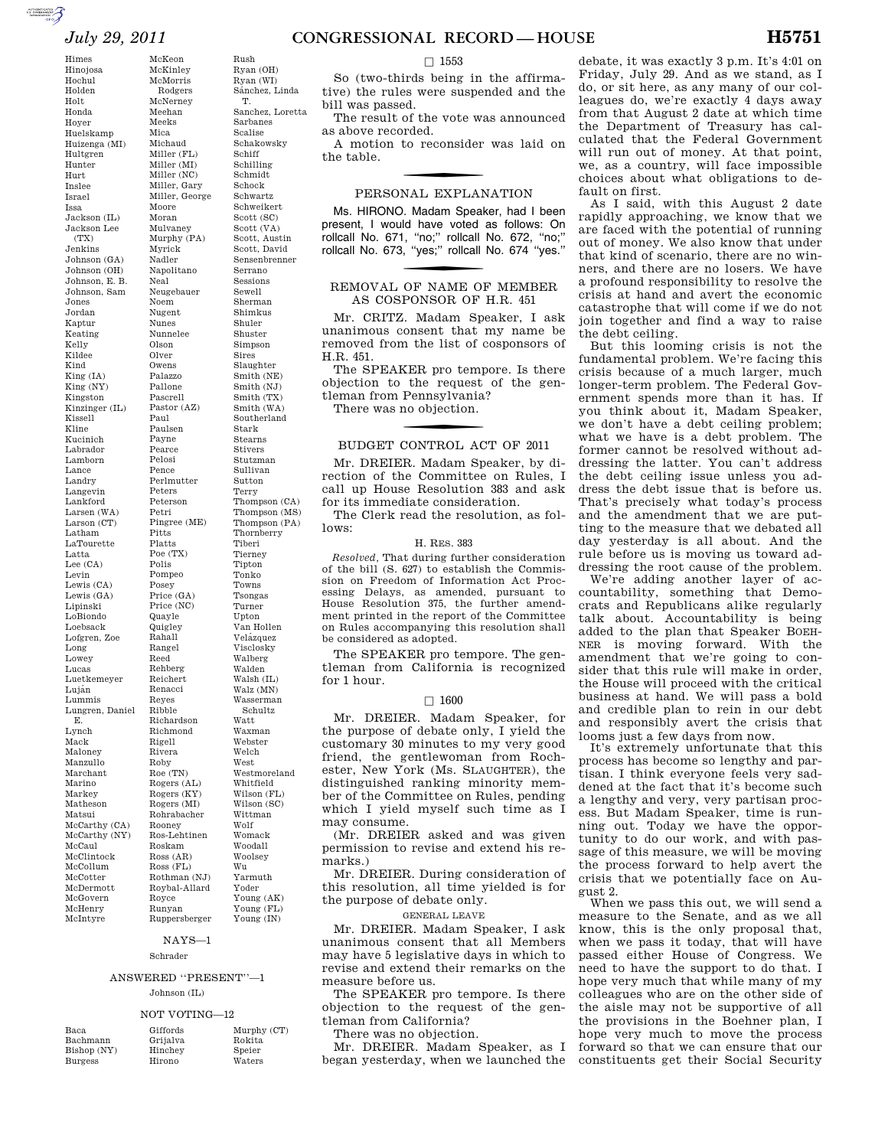McKeon McKinley McMorris Rodgers McNerney Meehan Meeks Mica Michaud

Moore Moran Mulvaney

Myrick Nadler

Neal

Noem Nugent Nunes Nunnelee Olson Olver Owens Palazzo Pallone Pascrell

Paul Paulsen Payne Pearce Pelosi Pence

Peters Peterson Petri

Pitts Platts Poe (TX) Polis Pompeo Posey

Quayle Quigley Rahall Rangel Reed Rehberg Reichert Renacci Reyes Ribble

Rigell Rivera Roby Roe (TN)

Roskam

Ross (FL)

Himes Hinojosa Hochul Holden Holt Honda Hoyer Huelskamp Huizenga (MI) Hultgren Hunter Hurt Inslee Israel Issa Jackson (IL) Jackson Lee  $(TX)$ Jenkins Johnson (GA) Johnson (OH) Johnson, E. B. Johnson, Sam Jones Jordan Kaptur Keating Kelly Kildee Kind King (IA) King (NY) Kingston Kinzinger (IL) Kissell Kline Kucinich Labrador Lamborn Lance Landry Langevin Lankford Larsen (WA) Larson (CT) Latham LaTourette Latta Lee (CA) Levin Lewis (CA) Lewis (GA) Lipinski LoBiondo Loebsack Lofgren, Zoe Long Lowey Lucas Luetkemeyer Luján Lummis Lungren, Daniel E. Lynch Mack Maloney Manzullo Marchant Marino Markey Matheson Matsui McCarthy (CA) McCarthy (NY) McCaul McClintock McCollum McCotter McDermott McGovern McHenry

Miller (FL) Miller (MI) Miller (NC) Miller, Gary Miller, George Murphy (PA) Napolitano Neugebauer Pastor (AZ) Perlmutter Pingree (ME) Price (GA) Price (NC) Richardson Richmond Rogers (AL) Rogers (KY) Rogers (MI) Rohrabacher Rooney Ros-Lehtinen Ross (AR) Rothman (NJ) Roybal-Allard Rush Ryan (OH) Ryan (WI) Sánchez, Linda T. Sanchez, Loretta Sarbanes Scalise Schakowsky Schiff Schilling Schmidt Schock Schwartz Schweikert Scott (SC) Scott (VA) Scott, Austin Scott, David Sensenbrenner Serrano Sessions Sewell Sherman Shimkus Shuler Shuster Simpson Sires Slaughter Smith (NE) Smith (NJ) Smith (TX) Smith (WA) Southerland Stark Stearns Stivers Stutzman Sullivan Sutton Terry Thompson (CA) Thompson (MS) Thompson (PA) Thornberry Tiberi Tierney Tipton Tonko Towns Tsongas Turner Upton Van Hollen Velázquez Visclosky Walberg Walden Walsh (IL) Walz (MN) Wasserman Schultz Watt Waxman Webster Welch West Westmoreland Whitfield Wilson (FL) Wilson (SC) Wittman Wolf Womack Woodall Woolsey Wu Yarmuth Yoder

# Ruppersberger NAYS—1

# Schrader

Royce Runyan

# ANSWERED ''PRESENT''—1

### Johnson (IL)

### NOT VOTING—12

| Baca.          | Giffords |
|----------------|----------|
| Bachmann       | Grijalva |
| Bishop (NY)    | Hinchey  |
| <b>Burgess</b> | Hirono   |

McIntyre

Murphy (CT) Rokita Speier

Waters

Young (AK) Young (FL) Young (IN)

# $\square$  1553

So (two-thirds being in the affirmative) the rules were suspended and the bill was passed.

The result of the vote was announced as above recorded.

A motion to reconsider was laid on the table.

# f PERSONAL EXPLANATION

Ms. HIRONO. Madam Speaker, had I been present, I would have voted as follows: On rollcall No. 671, ''no;'' rollcall No. 672, ''no;'' rollcall No. 673, ''yes;'' rollcall No. 674 ''yes.''

# REMOVAL OF NAME OF MEMBER AS COSPONSOR OF H.R. 451

Mr. CRITZ. Madam Speaker, I ask unanimous consent that my name be removed from the list of cosponsors of H.R. 451.

The SPEAKER pro tempore. Is there objection to the request of the gentleman from Pennsylvania? There was no objection.

# f BUDGET CONTROL ACT OF 2011

Mr. DREIER. Madam Speaker, by direction of the Committee on Rules, I call up House Resolution 383 and ask for its immediate consideration.

The Clerk read the resolution, as follows:

#### H. RES. 383

*Resolved,* That during further consideration of the bill (S. 627) to establish the Commission on Freedom of Information Act Processing Delays, as amended, pursuant to House Resolution 375, the further amendment printed in the report of the Committee on Rules accompanying this resolution shall be considered as adopted.

The SPEAKER pro tempore. The gentleman from California is recognized for 1 hour.

#### $\square$  1600

Mr. DREIER. Madam Speaker, for the purpose of debate only, I yield the customary 30 minutes to my very good friend, the gentlewoman from Rochester, New York (Ms. SLAUGHTER), the distinguished ranking minority member of the Committee on Rules, pending which I yield myself such time as I may consume.

(Mr. DREIER asked and was given permission to revise and extend his remarks.)

Mr. DREIER. During consideration of this resolution, all time yielded is for the purpose of debate only.

GENERAL LEAVE

Mr. DREIER. Madam Speaker, I ask unanimous consent that all Members may have 5 legislative days in which to revise and extend their remarks on the measure before us.

The SPEAKER pro tempore. Is there objection to the request of the gentleman from California?

There was no objection.

Mr. DREIER. Madam Speaker, as I began yesterday, when we launched the

debate, it was exactly 3 p.m. It's 4:01 on Friday, July 29. And as we stand, as I do, or sit here, as any many of our colleagues do, we're exactly 4 days away from that August 2 date at which time the Department of Treasury has calculated that the Federal Government will run out of money. At that point, we, as a country, will face impossible choices about what obligations to default on first.

As I said, with this August 2 date rapidly approaching, we know that we are faced with the potential of running out of money. We also know that under that kind of scenario, there are no winners, and there are no losers. We have a profound responsibility to resolve the crisis at hand and avert the economic catastrophe that will come if we do not join together and find a way to raise the debt ceiling.

But this looming crisis is not the fundamental problem. We're facing this crisis because of a much larger, much longer-term problem. The Federal Government spends more than it has. If you think about it, Madam Speaker, we don't have a debt ceiling problem; what we have is a debt problem. The former cannot be resolved without addressing the latter. You can't address the debt ceiling issue unless you address the debt issue that is before us. That's precisely what today's process and the amendment that we are putting to the measure that we debated all day yesterday is all about. And the rule before us is moving us toward addressing the root cause of the problem.

We're adding another layer of accountability, something that Democrats and Republicans alike regularly talk about. Accountability is being added to the plan that Speaker BOEH-NER is moving forward. With the amendment that we're going to consider that this rule will make in order, the House will proceed with the critical business at hand. We will pass a bold and credible plan to rein in our debt and responsibly avert the crisis that looms just a few days from now.

It's extremely unfortunate that this process has become so lengthy and partisan. I think everyone feels very saddened at the fact that it's become such a lengthy and very, very partisan process. But Madam Speaker, time is running out. Today we have the opportunity to do our work, and with passage of this measure, we will be moving the process forward to help avert the crisis that we potentially face on August 2.

When we pass this out, we will send a measure to the Senate, and as we all know, this is the only proposal that, when we pass it today, that will have passed either House of Congress. We need to have the support to do that. I hope very much that while many of my colleagues who are on the other side of the aisle may not be supportive of all the provisions in the Boehner plan, I hope very much to move the process forward so that we can ensure that our constituents get their Social Security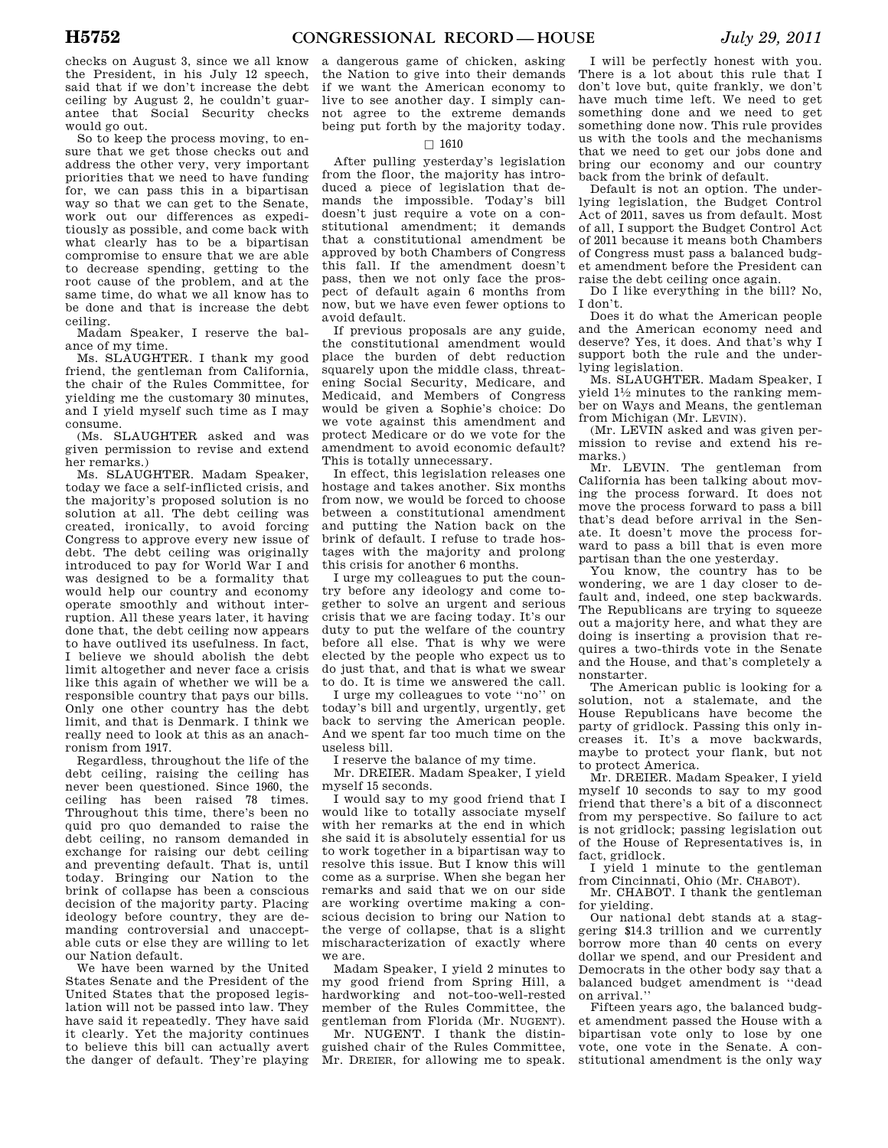checks on August 3, since we all know the President, in his July 12 speech, said that if we don't increase the debt ceiling by August 2, he couldn't guarantee that Social Security checks would go out.

So to keep the process moving, to ensure that we get those checks out and address the other very, very important priorities that we need to have funding for, we can pass this in a bipartisan way so that we can get to the Senate, work out our differences as expeditiously as possible, and come back with what clearly has to be a bipartisan compromise to ensure that we are able to decrease spending, getting to the root cause of the problem, and at the same time, do what we all know has to be done and that is increase the debt ceiling.

Madam Speaker, I reserve the balance of my time.

Ms. SLAUGHTER. I thank my good friend, the gentleman from California, the chair of the Rules Committee, for yielding me the customary 30 minutes, and I yield myself such time as I may consume.

(Ms. SLAUGHTER asked and was given permission to revise and extend her remarks.)

Ms. SLAUGHTER. Madam Speaker, today we face a self-inflicted crisis, and the majority's proposed solution is no solution at all. The debt ceiling was created, ironically, to avoid forcing Congress to approve every new issue of debt. The debt ceiling was originally introduced to pay for World War I and was designed to be a formality that would help our country and economy operate smoothly and without interruption. All these years later, it having done that, the debt ceiling now appears to have outlived its usefulness. In fact, I believe we should abolish the debt limit altogether and never face a crisis like this again of whether we will be a responsible country that pays our bills. Only one other country has the debt limit, and that is Denmark. I think we really need to look at this as an anachronism from 1917.

Regardless, throughout the life of the debt ceiling, raising the ceiling has never been questioned. Since 1960, the ceiling has been raised 78 times. Throughout this time, there's been no quid pro quo demanded to raise the debt ceiling, no ransom demanded in exchange for raising our debt ceiling and preventing default. That is, until today. Bringing our Nation to the brink of collapse has been a conscious decision of the majority party. Placing ideology before country, they are demanding controversial and unacceptable cuts or else they are willing to let our Nation default.

We have been warned by the United States Senate and the President of the United States that the proposed legislation will not be passed into law. They have said it repeatedly. They have said it clearly. Yet the majority continues to believe this bill can actually avert the danger of default. They're playing

a dangerous game of chicken, asking the Nation to give into their demands if we want the American economy to live to see another day. I simply cannot agree to the extreme demands being put forth by the majority today.

#### $\Box$  1610

After pulling yesterday's legislation from the floor, the majority has introduced a piece of legislation that demands the impossible. Today's bill doesn't just require a vote on a constitutional amendment; it demands that a constitutional amendment be approved by both Chambers of Congress this fall. If the amendment doesn't pass, then we not only face the prospect of default again 6 months from now, but we have even fewer options to avoid default.

If previous proposals are any guide, the constitutional amendment would place the burden of debt reduction squarely upon the middle class, threatening Social Security, Medicare, and Medicaid, and Members of Congress would be given a Sophie's choice: Do we vote against this amendment and protect Medicare or do we vote for the amendment to avoid economic default? This is totally unnecessary.

In effect, this legislation releases one hostage and takes another. Six months from now, we would be forced to choose between a constitutional amendment and putting the Nation back on the brink of default. I refuse to trade hostages with the majority and prolong this crisis for another 6 months.

I urge my colleagues to put the country before any ideology and come together to solve an urgent and serious crisis that we are facing today. It's our duty to put the welfare of the country before all else. That is why we were elected by the people who expect us to do just that, and that is what we swear to do. It is time we answered the call.

I urge my colleagues to vote ''no'' on today's bill and urgently, urgently, get back to serving the American people. And we spent far too much time on the useless bill.

I reserve the balance of my time.

Mr. DREIER. Madam Speaker, I yield myself 15 seconds.

I would say to my good friend that I would like to totally associate myself with her remarks at the end in which she said it is absolutely essential for us to work together in a bipartisan way to resolve this issue. But I know this will come as a surprise. When she began her remarks and said that we on our side are working overtime making a conscious decision to bring our Nation to the verge of collapse, that is a slight mischaracterization of exactly where we are.

Madam Speaker, I yield 2 minutes to my good friend from Spring Hill, a hardworking and not-too-well-rested member of the Rules Committee, the gentleman from Florida (Mr. NUGENT).

Mr. NUGENT. I thank the distinguished chair of the Rules Committee, Mr. DREIER, for allowing me to speak.

I will be perfectly honest with you. There is a lot about this rule that I don't love but, quite frankly, we don't have much time left. We need to get something done and we need to get something done now. This rule provides us with the tools and the mechanisms that we need to get our jobs done and bring our economy and our country back from the brink of default.

Default is not an option. The underlying legislation, the Budget Control Act of 2011, saves us from default. Most of all, I support the Budget Control Act of 2011 because it means both Chambers of Congress must pass a balanced budget amendment before the President can raise the debt ceiling once again.

Do I like everything in the bill? No, I don't.

Does it do what the American people and the American economy need and deserve? Yes, it does. And that's why I support both the rule and the underlying legislation.

Ms. SLAUGHTER. Madam Speaker, I yield  $1\frac{1}{2}$  minutes to the ranking member on Ways and Means, the gentleman from Michigan (Mr. LEVIN).

(Mr. LEVIN asked and was given permission to revise and extend his remarks.)

Mr. LEVIN. The gentleman from California has been talking about moving the process forward. It does not move the process forward to pass a bill that's dead before arrival in the Senate. It doesn't move the process forward to pass a bill that is even more partisan than the one yesterday.

You know, the country has to be wondering, we are 1 day closer to default and, indeed, one step backwards. The Republicans are trying to squeeze out a majority here, and what they are doing is inserting a provision that requires a two-thirds vote in the Senate and the House, and that's completely a nonstarter.

The American public is looking for a solution, not a stalemate, and the House Republicans have become the party of gridlock. Passing this only increases it. It's a move backwards, maybe to protect your flank, but not to protect America.

Mr. DREIER. Madam Speaker, I yield myself 10 seconds to say to my good friend that there's a bit of a disconnect from my perspective. So failure to act is not gridlock; passing legislation out of the House of Representatives is, in fact, gridlock.

I yield 1 minute to the gentleman from Cincinnati, Ohio (Mr. CHABOT).

Mr. CHABOT. I thank the gentleman for yielding.

Our national debt stands at a staggering \$14.3 trillion and we currently borrow more than 40 cents on every dollar we spend, and our President and Democrats in the other body say that a balanced budget amendment is ''dead on arrival.''

Fifteen years ago, the balanced budget amendment passed the House with a bipartisan vote only to lose by one vote, one vote in the Senate. A constitutional amendment is the only way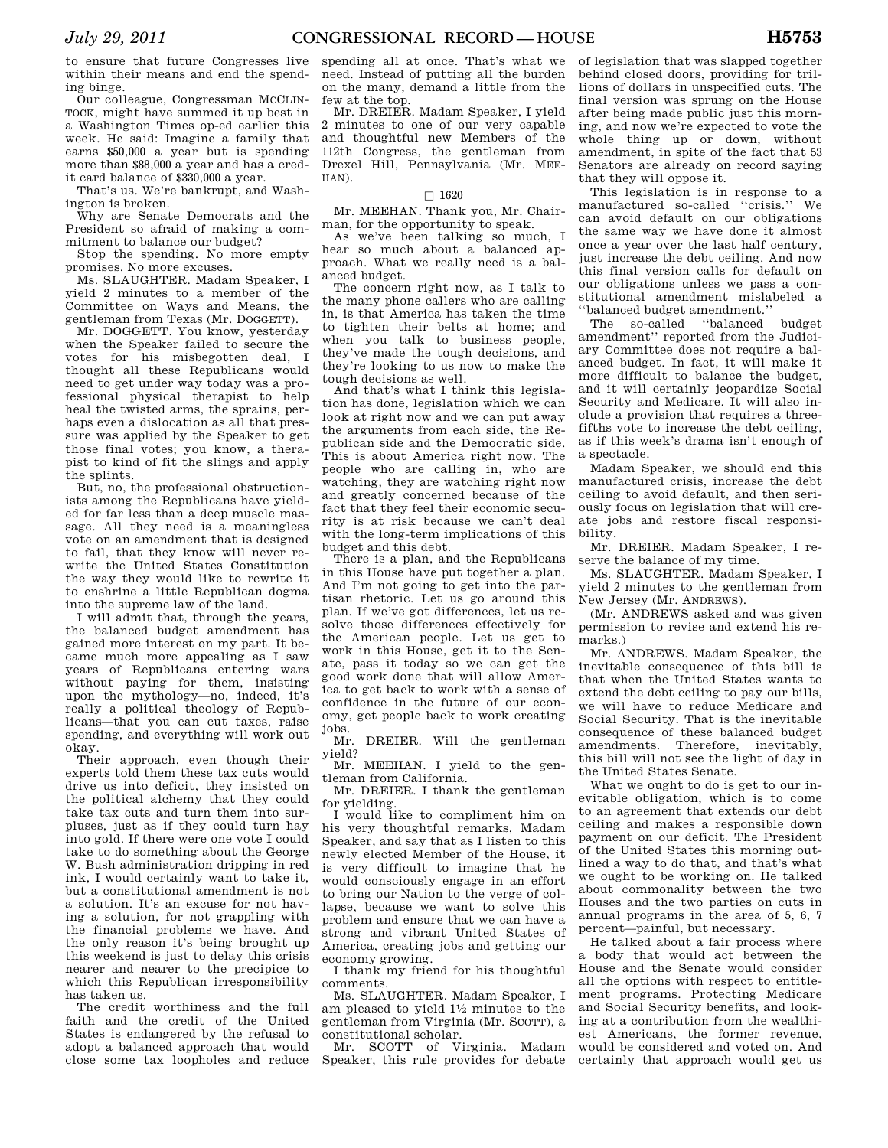to ensure that future Congresses live within their means and end the spending binge.

Our colleague, Congressman MCCLIN-TOCK, might have summed it up best in a Washington Times op-ed earlier this week. He said: Imagine a family that earns \$50,000 a year but is spending more than \$88,000 a year and has a credit card balance of \$330,000 a year.

That's us. We're bankrupt, and Washington is broken.

Why are Senate Democrats and the President so afraid of making a commitment to balance our budget?

Stop the spending. No more empty promises. No more excuses.

Ms. SLAUGHTER. Madam Speaker, I yield 2 minutes to a member of the Committee on Ways and Means, the gentleman from Texas (Mr. DOGGETT).

Mr. DOGGETT. You know, yesterday when the Speaker failed to secure the votes for his misbegotten deal, I thought all these Republicans would need to get under way today was a professional physical therapist to help heal the twisted arms, the sprains, perhaps even a dislocation as all that pressure was applied by the Speaker to get those final votes; you know, a therapist to kind of fit the slings and apply the splints.

But, no, the professional obstructionists among the Republicans have yielded for far less than a deep muscle massage. All they need is a meaningless vote on an amendment that is designed to fail, that they know will never rewrite the United States Constitution the way they would like to rewrite it to enshrine a little Republican dogma into the supreme law of the land.

I will admit that, through the years, the balanced budget amendment has gained more interest on my part. It became much more appealing as I saw years of Republicans entering wars without paying for them, insisting upon the mythology—no, indeed, it's really a political theology of Republicans—that you can cut taxes, raise spending, and everything will work out okay.

Their approach, even though their experts told them these tax cuts would drive us into deficit, they insisted on the political alchemy that they could take tax cuts and turn them into surpluses, just as if they could turn hay into gold. If there were one vote I could take to do something about the George W. Bush administration dripping in red ink, I would certainly want to take it, but a constitutional amendment is not a solution. It's an excuse for not having a solution, for not grappling with the financial problems we have. And the only reason it's being brought up this weekend is just to delay this crisis nearer and nearer to the precipice to which this Republican irresponsibility has taken us.

The credit worthiness and the full faith and the credit of the United States is endangered by the refusal to adopt a balanced approach that would close some tax loopholes and reduce

spending all at once. That's what we need. Instead of putting all the burden on the many, demand a little from the few at the top.

Mr. DREIER. Madam Speaker, I yield 2 minutes to one of our very capable and thoughtful new Members of the 112th Congress, the gentleman from Drexel Hill, Pennsylvania (Mr. MEE-HAN).

#### $\Box$  1620

Mr. MEEHAN. Thank you, Mr. Chairman, for the opportunity to speak.

As we've been talking so much, I hear so much about a balanced approach. What we really need is a balanced budget.

The concern right now, as I talk to the many phone callers who are calling in, is that America has taken the time to tighten their belts at home; and when you talk to business people, they've made the tough decisions, and they're looking to us now to make the tough decisions as well.

And that's what I think this legislation has done, legislation which we can look at right now and we can put away the arguments from each side, the Republican side and the Democratic side. This is about America right now. The people who are calling in, who are watching, they are watching right now and greatly concerned because of the fact that they feel their economic security is at risk because we can't deal with the long-term implications of this budget and this debt.

There is a plan, and the Republicans in this House have put together a plan. And I'm not going to get into the partisan rhetoric. Let us go around this plan. If we've got differences, let us resolve those differences effectively for the American people. Let us get to work in this House, get it to the Senate, pass it today so we can get the good work done that will allow America to get back to work with a sense of confidence in the future of our economy, get people back to work creating jobs.

Mr. DREIER. Will the gentleman yield?

Mr. MEEHAN. I yield to the gentleman from California.

Mr. DREIER. I thank the gentleman for yielding.

I would like to compliment him on his very thoughtful remarks, Madam Speaker, and say that as I listen to this newly elected Member of the House, it is very difficult to imagine that he would consciously engage in an effort to bring our Nation to the verge of collapse, because we want to solve this problem and ensure that we can have a strong and vibrant United States of America, creating jobs and getting our economy growing.

I thank my friend for his thoughtful comments.

Ms. SLAUGHTER. Madam Speaker, I am pleased to yield 11⁄2 minutes to the gentleman from Virginia (Mr. SCOTT), a constitutional scholar.

Mr. SCOTT of Virginia. Madam Speaker, this rule provides for debate

of legislation that was slapped together behind closed doors, providing for trillions of dollars in unspecified cuts. The final version was sprung on the House after being made public just this morning, and now we're expected to vote the whole thing up or down, without amendment, in spite of the fact that 53 Senators are already on record saying that they will oppose it.

This legislation is in response to a manufactured so-called ''crisis.'' We can avoid default on our obligations the same way we have done it almost once a year over the last half century, just increase the debt ceiling. And now this final version calls for default on our obligations unless we pass a constitutional amendment mislabeled a ''balanced budget amendment.''

The so-called ''balanced budget amendment'' reported from the Judiciary Committee does not require a balanced budget. In fact, it will make it more difficult to balance the budget, and it will certainly jeopardize Social Security and Medicare. It will also include a provision that requires a threefifths vote to increase the debt ceiling, as if this week's drama isn't enough of a spectacle.

Madam Speaker, we should end this manufactured crisis, increase the debt ceiling to avoid default, and then seriously focus on legislation that will create jobs and restore fiscal responsibility.

Mr. DREIER. Madam Speaker, I reserve the balance of my time.

Ms. SLAUGHTER. Madam Speaker, I yield 2 minutes to the gentleman from New Jersey (Mr. ANDREWS).

(Mr. ANDREWS asked and was given permission to revise and extend his remarks.)

Mr. ANDREWS. Madam Speaker, the inevitable consequence of this bill is that when the United States wants to extend the debt ceiling to pay our bills, we will have to reduce Medicare and Social Security. That is the inevitable consequence of these balanced budget amendments. Therefore, inevitably, this bill will not see the light of day in the United States Senate.

What we ought to do is get to our inevitable obligation, which is to come to an agreement that extends our debt ceiling and makes a responsible down payment on our deficit. The President of the United States this morning outlined a way to do that, and that's what we ought to be working on. He talked about commonality between the two Houses and the two parties on cuts in annual programs in the area of 5, 6, 7 percent—painful, but necessary.

He talked about a fair process where a body that would act between the House and the Senate would consider all the options with respect to entitlement programs. Protecting Medicare and Social Security benefits, and looking at a contribution from the wealthiest Americans, the former revenue, would be considered and voted on. And certainly that approach would get us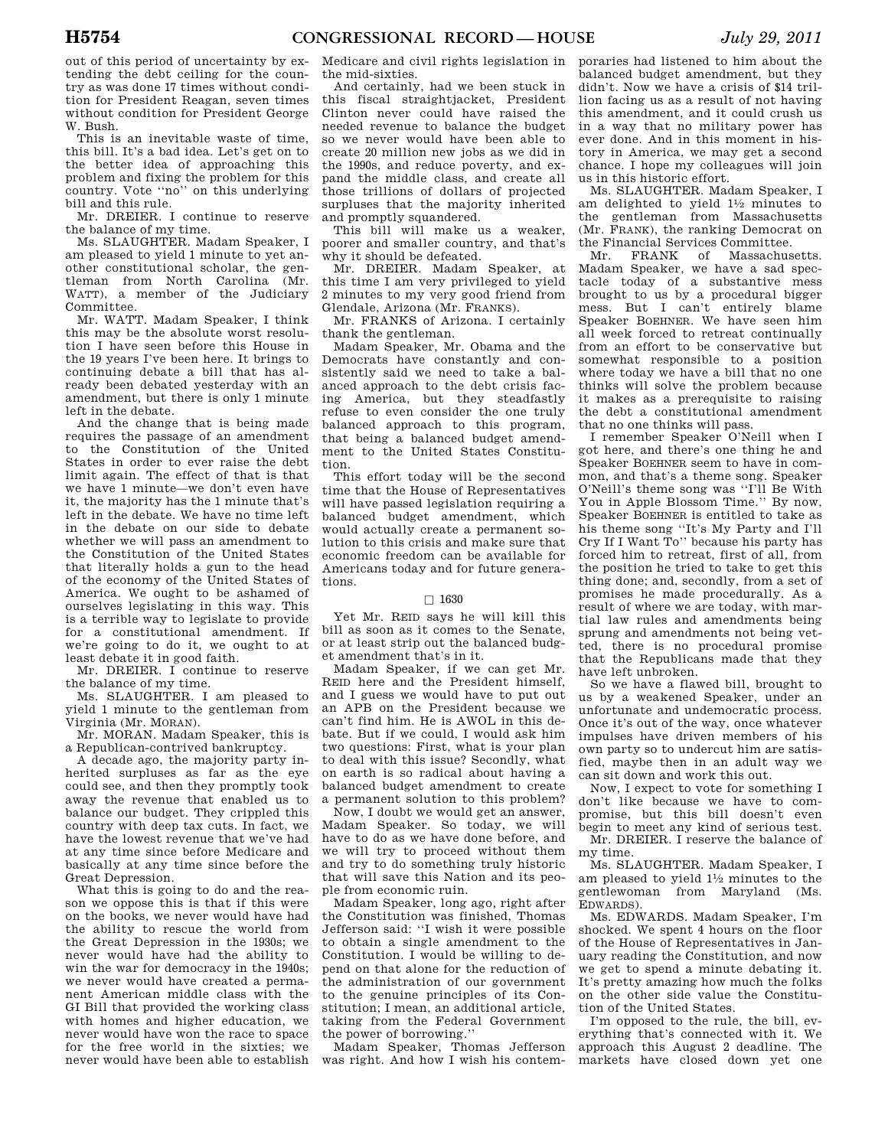out of this period of uncertainty by extending the debt ceiling for the country as was done 17 times without condition for President Reagan, seven times without condition for President George W. Bush.

This is an inevitable waste of time, this bill. It's a bad idea. Let's get on to the better idea of approaching this problem and fixing the problem for this country. Vote ''no'' on this underlying bill and this rule.

Mr. DREIER. I continue to reserve the balance of my time.

Ms. SLAUGHTER. Madam Speaker, I am pleased to yield 1 minute to yet another constitutional scholar, the gentleman from North Carolina (Mr. WATT), a member of the Judiciary Committee.

Mr. WATT. Madam Speaker, I think this may be the absolute worst resolution I have seen before this House in the 19 years I've been here. It brings to continuing debate a bill that has already been debated yesterday with an amendment, but there is only 1 minute left in the debate.

And the change that is being made requires the passage of an amendment to the Constitution of the United States in order to ever raise the debt limit again. The effect of that is that we have 1 minute—we don't even have it, the majority has the 1 minute that's left in the debate. We have no time left in the debate on our side to debate whether we will pass an amendment to the Constitution of the United States that literally holds a gun to the head of the economy of the United States of America. We ought to be ashamed of ourselves legislating in this way. This is a terrible way to legislate to provide for a constitutional amendment. If we're going to do it, we ought to at least debate it in good faith.

Mr. DREIER. I continue to reserve the balance of my time.

Ms. SLAUGHTER. I am pleased to yield 1 minute to the gentleman from Virginia (Mr. MORAN).

Mr. MORAN. Madam Speaker, this is a Republican-contrived bankruptcy.

A decade ago, the majority party inherited surpluses as far as the eye could see, and then they promptly took away the revenue that enabled us to balance our budget. They crippled this country with deep tax cuts. In fact, we have the lowest revenue that we've had at any time since before Medicare and basically at any time since before the Great Depression.

What this is going to do and the reason we oppose this is that if this were on the books, we never would have had the ability to rescue the world from the Great Depression in the 1930s; we never would have had the ability to win the war for democracy in the 1940s; we never would have created a permanent American middle class with the GI Bill that provided the working class with homes and higher education, we never would have won the race to space for the free world in the sixties; we never would have been able to establish

Medicare and civil rights legislation in the mid-sixties.

And certainly, had we been stuck in this fiscal straightjacket, President Clinton never could have raised the needed revenue to balance the budget so we never would have been able to create 20 million new jobs as we did in the 1990s, and reduce poverty, and expand the middle class, and create all those trillions of dollars of projected surpluses that the majority inherited and promptly squandered.

This bill will make us a weaker, poorer and smaller country, and that's why it should be defeated.

Mr. DREIER. Madam Speaker, at this time I am very privileged to yield 2 minutes to my very good friend from Glendale, Arizona (Mr. FRANKS).

Mr. FRANKS of Arizona. I certainly thank the gentleman.

Madam Speaker, Mr. Obama and the Democrats have constantly and consistently said we need to take a balanced approach to the debt crisis facing America, but they steadfastly refuse to even consider the one truly balanced approach to this program, that being a balanced budget amendment to the United States Constitution.

This effort today will be the second time that the House of Representatives will have passed legislation requiring a balanced budget amendment, which would actually create a permanent solution to this crisis and make sure that economic freedom can be available for Americans today and for future generations.

#### $\Box$  1630

Yet Mr. REID says he will kill this bill as soon as it comes to the Senate, or at least strip out the balanced budget amendment that's in it.

Madam Speaker, if we can get Mr. REID here and the President himself, and I guess we would have to put out an APB on the President because we can't find him. He is AWOL in this debate. But if we could, I would ask him two questions: First, what is your plan to deal with this issue? Secondly, what on earth is so radical about having a balanced budget amendment to create a permanent solution to this problem?

Now, I doubt we would get an answer, Madam Speaker. So today, we will have to do as we have done before, and we will try to proceed without them and try to do something truly historic that will save this Nation and its people from economic ruin.

Madam Speaker, long ago, right after the Constitution was finished, Thomas Jefferson said: ''I wish it were possible to obtain a single amendment to the Constitution. I would be willing to depend on that alone for the reduction of the administration of our government to the genuine principles of its Constitution; I mean, an additional article, taking from the Federal Government the power of borrowing.''

Madam Speaker, Thomas Jefferson was right. And how I wish his contem-

poraries had listened to him about the balanced budget amendment, but they didn't. Now we have a crisis of \$14 trillion facing us as a result of not having this amendment, and it could crush us in a way that no military power has ever done. And in this moment in history in America, we may get a second chance. I hope my colleagues will join us in this historic effort.

Ms. SLAUGHTER. Madam Speaker, I am delighted to yield  $1\frac{1}{2}$  minutes to the gentleman from Massachusetts (Mr. FRANK), the ranking Democrat on the Financial Services Committee.

Mr. FRANK of Massachusetts. Madam Speaker, we have a sad spectacle today of a substantive mess brought to us by a procedural bigger mess. But I can't entirely blame Speaker BOEHNER. We have seen him all week forced to retreat continually from an effort to be conservative but somewhat responsible to a position where today we have a bill that no one thinks will solve the problem because it makes as a prerequisite to raising the debt a constitutional amendment that no one thinks will pass.

I remember Speaker O'Neill when I got here, and there's one thing he and Speaker BOEHNER seem to have in common, and that's a theme song. Speaker O'Neill's theme song was ''I'll Be With You in Apple Blossom Time.'' By now, Speaker BOEHNER is entitled to take as his theme song ''It's My Party and I'll Cry If I Want To'' because his party has forced him to retreat, first of all, from the position he tried to take to get this thing done; and, secondly, from a set of promises he made procedurally. As a result of where we are today, with martial law rules and amendments being sprung and amendments not being vetted, there is no procedural promise that the Republicans made that they have left unbroken.

So we have a flawed bill, brought to us by a weakened Speaker, under an unfortunate and undemocratic process. Once it's out of the way, once whatever impulses have driven members of his own party so to undercut him are satisfied, maybe then in an adult way we can sit down and work this out.

Now, I expect to vote for something I don't like because we have to compromise, but this bill doesn't even begin to meet any kind of serious test. Mr. DREIER. I reserve the balance of

my time. Ms. SLAUGHTER. Madam Speaker, I am pleased to yield 11⁄2 minutes to the gentlewoman from Maryland (Ms. EDWARDS).

Ms. EDWARDS. Madam Speaker, I'm shocked. We spent 4 hours on the floor of the House of Representatives in January reading the Constitution, and now we get to spend a minute debating it. It's pretty amazing how much the folks on the other side value the Constitution of the United States.

I'm opposed to the rule, the bill, everything that's connected with it. We approach this August 2 deadline. The markets have closed down yet one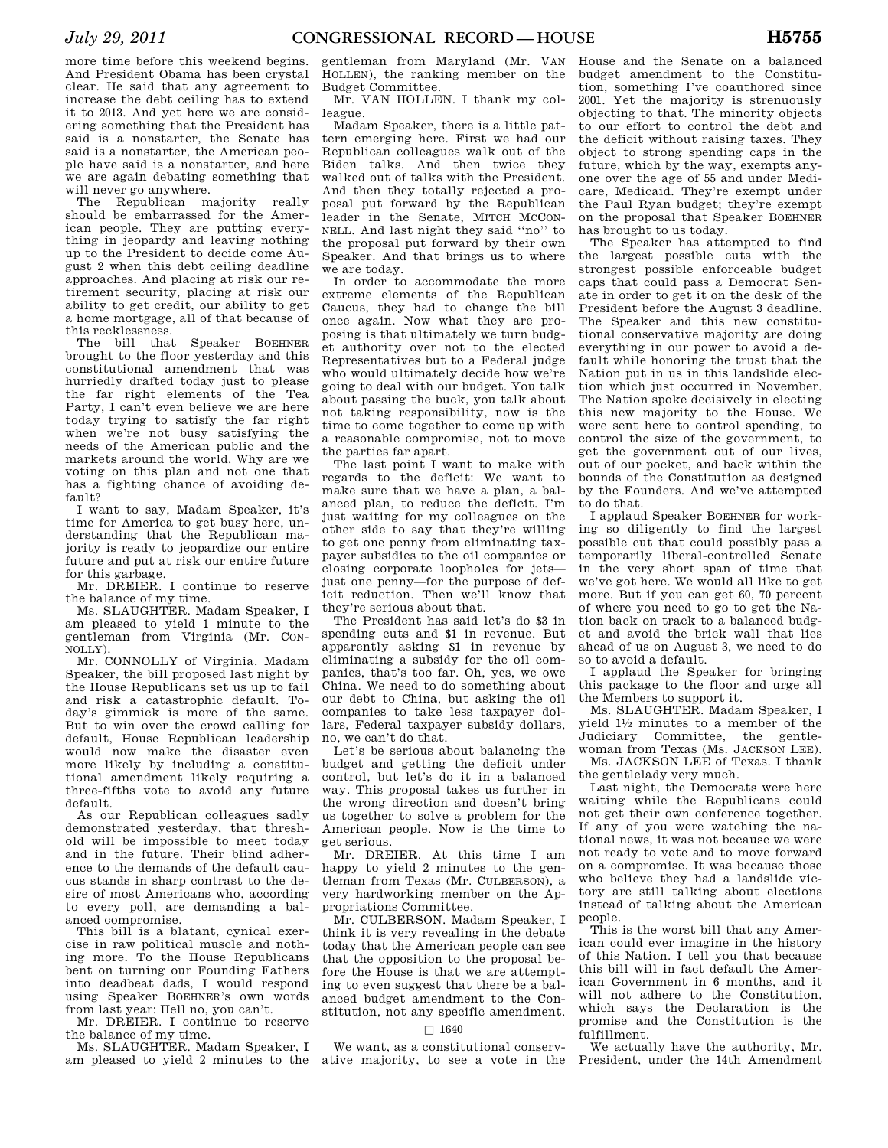more time before this weekend begins. And President Obama has been crystal clear. He said that any agreement to increase the debt ceiling has to extend it to 2013. And yet here we are considering something that the President has said is a nonstarter, the Senate has said is a nonstarter, the American people have said is a nonstarter, and here we are again debating something that will never go anywhere.

The Republican majority really should be embarrassed for the American people. They are putting everything in jeopardy and leaving nothing up to the President to decide come August 2 when this debt ceiling deadline approaches. And placing at risk our retirement security, placing at risk our ability to get credit, our ability to get a home mortgage, all of that because of this recklessness.

The bill that Speaker BOEHNER brought to the floor yesterday and this constitutional amendment that was hurriedly drafted today just to please the far right elements of the Tea Party, I can't even believe we are here today trying to satisfy the far right when we're not busy satisfying the needs of the American public and the markets around the world. Why are we voting on this plan and not one that has a fighting chance of avoiding default?

I want to say, Madam Speaker, it's time for America to get busy here, understanding that the Republican majority is ready to jeopardize our entire future and put at risk our entire future for this garbage.

Mr. DREIER. I continue to reserve the balance of my time.

Ms. SLAUGHTER. Madam Speaker, I am pleased to yield 1 minute to the gentleman from Virginia (Mr. CON-NOLLY).

Mr. CONNOLLY of Virginia. Madam Speaker, the bill proposed last night by the House Republicans set us up to fail and risk a catastrophic default. Today's gimmick is more of the same. But to win over the crowd calling for default, House Republican leadership would now make the disaster even more likely by including a constitutional amendment likely requiring a three-fifths vote to avoid any future default.

As our Republican colleagues sadly demonstrated yesterday, that threshold will be impossible to meet today and in the future. Their blind adherence to the demands of the default caucus stands in sharp contrast to the desire of most Americans who, according to every poll, are demanding a balanced compromise.

This bill is a blatant, cynical exercise in raw political muscle and nothing more. To the House Republicans bent on turning our Founding Fathers into deadbeat dads, I would respond using Speaker BOEHNER's own words from last year: Hell no, you can't.

Mr. DREIER. I continue to reserve the balance of my time.

Ms. SLAUGHTER. Madam Speaker, I am pleased to yield 2 minutes to the ative majority, to see a vote in the

gentleman from Maryland (Mr. VAN HOLLEN), the ranking member on the Budget Committee.

Mr. VAN HOLLEN. I thank my colleague.

Madam Speaker, there is a little pattern emerging here. First we had our Republican colleagues walk out of the Biden talks. And then twice they walked out of talks with the President. And then they totally rejected a proposal put forward by the Republican leader in the Senate, MITCH MCCON-NELL. And last night they said ''no'' to the proposal put forward by their own Speaker. And that brings us to where we are today.

In order to accommodate the more extreme elements of the Republican Caucus, they had to change the bill once again. Now what they are proposing is that ultimately we turn budget authority over not to the elected Representatives but to a Federal judge who would ultimately decide how we're going to deal with our budget. You talk about passing the buck, you talk about not taking responsibility, now is the time to come together to come up with a reasonable compromise, not to move the parties far apart.

The last point I want to make with regards to the deficit: We want to make sure that we have a plan, a balanced plan, to reduce the deficit. I'm just waiting for my colleagues on the other side to say that they're willing to get one penny from eliminating taxpayer subsidies to the oil companies or closing corporate loopholes for jets just one penny—for the purpose of deficit reduction. Then we'll know that they're serious about that.

The President has said let's do \$3 in spending cuts and \$1 in revenue. But apparently asking \$1 in revenue by eliminating a subsidy for the oil companies, that's too far. Oh, yes, we owe China. We need to do something about our debt to China, but asking the oil companies to take less taxpayer dollars, Federal taxpayer subsidy dollars, no, we can't do that.

Let's be serious about balancing the budget and getting the deficit under control, but let's do it in a balanced way. This proposal takes us further in the wrong direction and doesn't bring us together to solve a problem for the American people. Now is the time to get serious.

Mr. DREIER. At this time I am happy to yield 2 minutes to the gentleman from Texas (Mr. CULBERSON), a very hardworking member on the Appropriations Committee.

Mr. CULBERSON. Madam Speaker, I think it is very revealing in the debate today that the American people can see that the opposition to the proposal before the House is that we are attempting to even suggest that there be a balanced budget amendment to the Constitution, not any specific amendment.

# $\Box$  1640

We want, as a constitutional conserv-

House and the Senate on a balanced budget amendment to the Constitution, something I've coauthored since 2001. Yet the majority is strenuously objecting to that. The minority objects to our effort to control the debt and the deficit without raising taxes. They object to strong spending caps in the future, which by the way, exempts anyone over the age of 55 and under Medicare, Medicaid. They're exempt under the Paul Ryan budget; they're exempt on the proposal that Speaker BOEHNER has brought to us today.

The Speaker has attempted to find the largest possible cuts with the strongest possible enforceable budget caps that could pass a Democrat Senate in order to get it on the desk of the President before the August 3 deadline. The Speaker and this new constitutional conservative majority are doing everything in our power to avoid a default while honoring the trust that the Nation put in us in this landslide election which just occurred in November. The Nation spoke decisively in electing this new majority to the House. We were sent here to control spending, to control the size of the government, to get the government out of our lives, out of our pocket, and back within the bounds of the Constitution as designed by the Founders. And we've attempted to do that.

I applaud Speaker BOEHNER for working so diligently to find the largest possible cut that could possibly pass a temporarily liberal-controlled Senate in the very short span of time that we've got here. We would all like to get more. But if you can get 60, 70 percent of where you need to go to get the Nation back on track to a balanced budget and avoid the brick wall that lies ahead of us on August 3, we need to do so to avoid a default.

I applaud the Speaker for bringing this package to the floor and urge all the Members to support it.

Ms. SLAUGHTER. Madam Speaker, I yield 11⁄2 minutes to a member of the Judiciary Committee, the gentlewoman from Texas (Ms. JACKSON LEE).

Ms. JACKSON LEE of Texas. I thank the gentlelady very much.

Last night, the Democrats were here waiting while the Republicans could not get their own conference together. If any of you were watching the national news, it was not because we were not ready to vote and to move forward on a compromise. It was because those who believe they had a landslide victory are still talking about elections instead of talking about the American people.

This is the worst bill that any American could ever imagine in the history of this Nation. I tell you that because this bill will in fact default the American Government in 6 months, and it will not adhere to the Constitution, which says the Declaration is the promise and the Constitution is the fulfillment.

We actually have the authority, Mr. President, under the 14th Amendment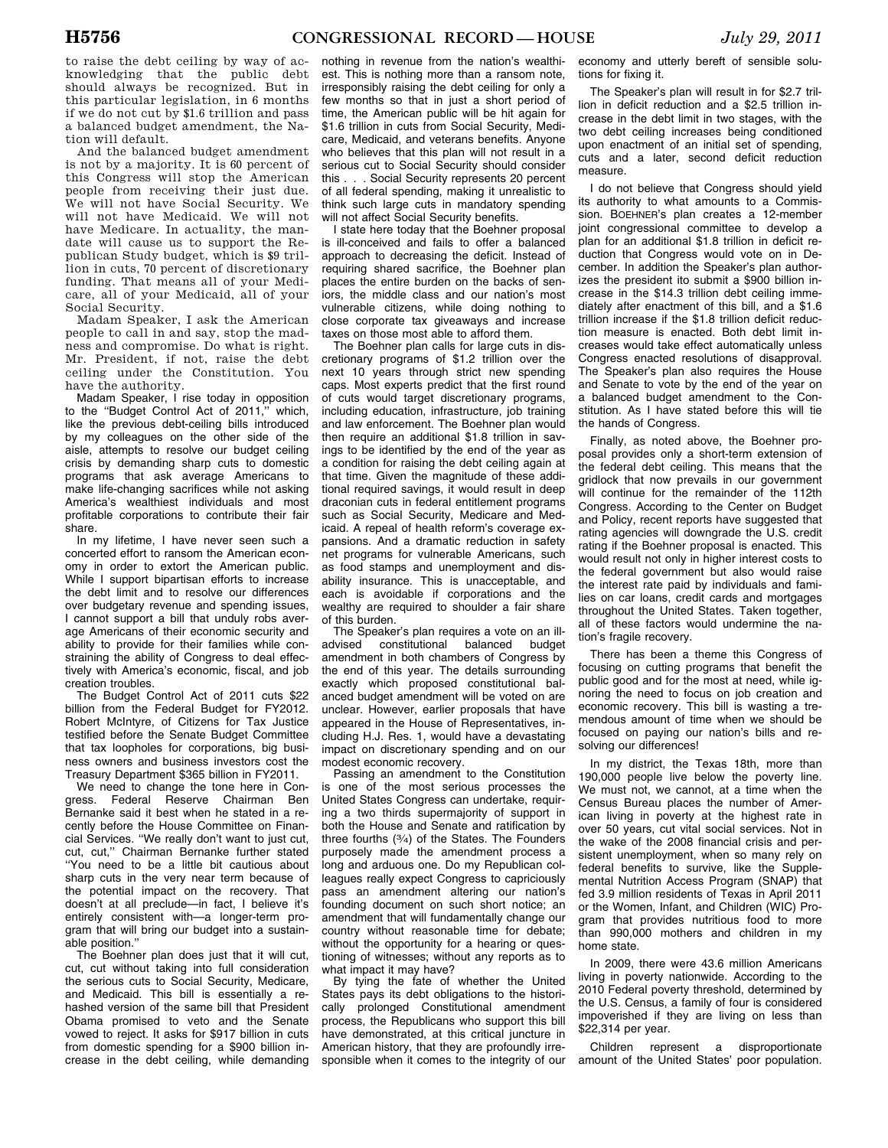to raise the debt ceiling by way of acknowledging that the public debt should always be recognized. But in this particular legislation, in 6 months if we do not cut by \$1.6 trillion and pass a balanced budget amendment, the Nation will default.

And the balanced budget amendment is not by a majority. It is 60 percent of this Congress will stop the American people from receiving their just due. We will not have Social Security. We will not have Medicaid. We will not have Medicare. In actuality, the mandate will cause us to support the Republican Study budget, which is \$9 trillion in cuts, 70 percent of discretionary funding. That means all of your Medicare, all of your Medicaid, all of your Social Security.

Madam Speaker, I ask the American people to call in and say, stop the madness and compromise. Do what is right. Mr. President, if not, raise the debt ceiling under the Constitution. You have the authority.

Madam Speaker, I rise today in opposition to the ''Budget Control Act of 2011,'' which, like the previous debt-ceiling bills introduced by my colleagues on the other side of the aisle, attempts to resolve our budget ceiling crisis by demanding sharp cuts to domestic programs that ask average Americans to make life-changing sacrifices while not asking America's wealthiest individuals and most profitable corporations to contribute their fair share.

In my lifetime, I have never seen such a concerted effort to ransom the American economy in order to extort the American public. While I support bipartisan efforts to increase the debt limit and to resolve our differences over budgetary revenue and spending issues, I cannot support a bill that unduly robs average Americans of their economic security and ability to provide for their families while constraining the ability of Congress to deal effectively with America's economic, fiscal, and job creation troubles.

The Budget Control Act of 2011 cuts \$22 billion from the Federal Budget for FY2012. Robert McIntyre, of Citizens for Tax Justice testified before the Senate Budget Committee that tax loopholes for corporations, big business owners and business investors cost the Treasury Department \$365 billion in FY2011.

We need to change the tone here in Congress. Federal Reserve Chairman Ben Bernanke said it best when he stated in a recently before the House Committee on Financial Services. ''We really don't want to just cut, cut, cut,'' Chairman Bernanke further stated ''You need to be a little bit cautious about sharp cuts in the very near term because of the potential impact on the recovery. That doesn't at all preclude—in fact, I believe it's entirely consistent with—a longer-term program that will bring our budget into a sustainable position.''

The Boehner plan does just that it will cut, cut, cut without taking into full consideration the serious cuts to Social Security, Medicare, and Medicaid. This bill is essentially a rehashed version of the same bill that President Obama promised to veto and the Senate vowed to reject. It asks for \$917 billion in cuts from domestic spending for a \$900 billion increase in the debt ceiling, while demanding

nothing in revenue from the nation's wealthiest. This is nothing more than a ransom note, irresponsibly raising the debt ceiling for only a few months so that in just a short period of time, the American public will be hit again for \$1.6 trillion in cuts from Social Security, Medicare, Medicaid, and veterans benefits. Anyone who believes that this plan will not result in a serious cut to Social Security should consider this . . . Social Security represents 20 percent of all federal spending, making it unrealistic to think such large cuts in mandatory spending will not affect Social Security benefits.

I state here today that the Boehner proposal is ill-conceived and fails to offer a balanced approach to decreasing the deficit. Instead of requiring shared sacrifice, the Boehner plan places the entire burden on the backs of seniors, the middle class and our nation's most vulnerable citizens, while doing nothing to close corporate tax giveaways and increase taxes on those most able to afford them.

The Boehner plan calls for large cuts in discretionary programs of \$1.2 trillion over the next 10 years through strict new spending caps. Most experts predict that the first round of cuts would target discretionary programs, including education, infrastructure, job training and law enforcement. The Boehner plan would then require an additional \$1.8 trillion in savings to be identified by the end of the year as a condition for raising the debt ceiling again at that time. Given the magnitude of these additional required savings, it would result in deep draconian cuts in federal entitlement programs such as Social Security, Medicare and Medicaid. A repeal of health reform's coverage expansions. And a dramatic reduction in safety net programs for vulnerable Americans, such as food stamps and unemployment and disability insurance. This is unacceptable, and each is avoidable if corporations and the wealthy are required to shoulder a fair share of this burden.

The Speaker's plan requires a vote on an illadvised constitutional balanced budget amendment in both chambers of Congress by the end of this year. The details surrounding exactly which proposed constitutional balanced budget amendment will be voted on are unclear. However, earlier proposals that have appeared in the House of Representatives, including H.J. Res. 1, would have a devastating impact on discretionary spending and on our modest economic recovery.

Passing an amendment to the Constitution is one of the most serious processes the United States Congress can undertake, requiring a two thirds supermajority of support in both the House and Senate and ratification by three fourths (3⁄4) of the States. The Founders purposely made the amendment process a long and arduous one. Do my Republican colleagues really expect Congress to capriciously pass an amendment altering our nation's founding document on such short notice; an amendment that will fundamentally change our country without reasonable time for debate; without the opportunity for a hearing or questioning of witnesses; without any reports as to what impact it may have?

By tying the fate of whether the United States pays its debt obligations to the historically prolonged Constitutional amendment process, the Republicans who support this bill have demonstrated, at this critical juncture in American history, that they are profoundly irresponsible when it comes to the integrity of our

economy and utterly bereft of sensible solutions for fixing it.

The Speaker's plan will result in for \$2.7 trillion in deficit reduction and a \$2.5 trillion increase in the debt limit in two stages, with the two debt ceiling increases being conditioned upon enactment of an initial set of spending, cuts and a later, second deficit reduction measure.

I do not believe that Congress should yield its authority to what amounts to a Commission. BOEHNER's plan creates a 12-member joint congressional committee to develop a plan for an additional \$1.8 trillion in deficit reduction that Congress would vote on in December. In addition the Speaker's plan authorizes the president ito submit a \$900 billion increase in the \$14.3 trillion debt ceiling immediately after enactment of this bill, and a \$1.6 trillion increase if the \$1.8 trillion deficit reduction measure is enacted. Both debt limit increases would take effect automatically unless Congress enacted resolutions of disapproval. The Speaker's plan also requires the House and Senate to vote by the end of the year on a balanced budget amendment to the Constitution. As I have stated before this will tie the hands of Congress.

Finally, as noted above, the Boehner proposal provides only a short-term extension of the federal debt ceiling. This means that the gridlock that now prevails in our government will continue for the remainder of the 112th Congress. According to the Center on Budget and Policy, recent reports have suggested that rating agencies will downgrade the U.S. credit rating if the Boehner proposal is enacted. This would result not only in higher interest costs to the federal government but also would raise the interest rate paid by individuals and families on car loans, credit cards and mortgages throughout the United States. Taken together, all of these factors would undermine the nation's fragile recovery.

There has been a theme this Congress of focusing on cutting programs that benefit the public good and for the most at need, while ignoring the need to focus on job creation and economic recovery. This bill is wasting a tremendous amount of time when we should be focused on paying our nation's bills and resolving our differences!

In my district, the Texas 18th, more than 190,000 people live below the poverty line. We must not, we cannot, at a time when the Census Bureau places the number of American living in poverty at the highest rate in over 50 years, cut vital social services. Not in the wake of the 2008 financial crisis and persistent unemployment, when so many rely on federal benefits to survive, like the Supplemental Nutrition Access Program (SNAP) that fed 3.9 million residents of Texas in April 2011 or the Women, Infant, and Children (WIC) Program that provides nutritious food to more than 990,000 mothers and children in my home state.

In 2009, there were 43.6 million Americans living in poverty nationwide. According to the 2010 Federal poverty threshold, determined by the U.S. Census, a family of four is considered impoverished if they are living on less than \$22,314 per year.

Children represent a disproportionate amount of the United States' poor population.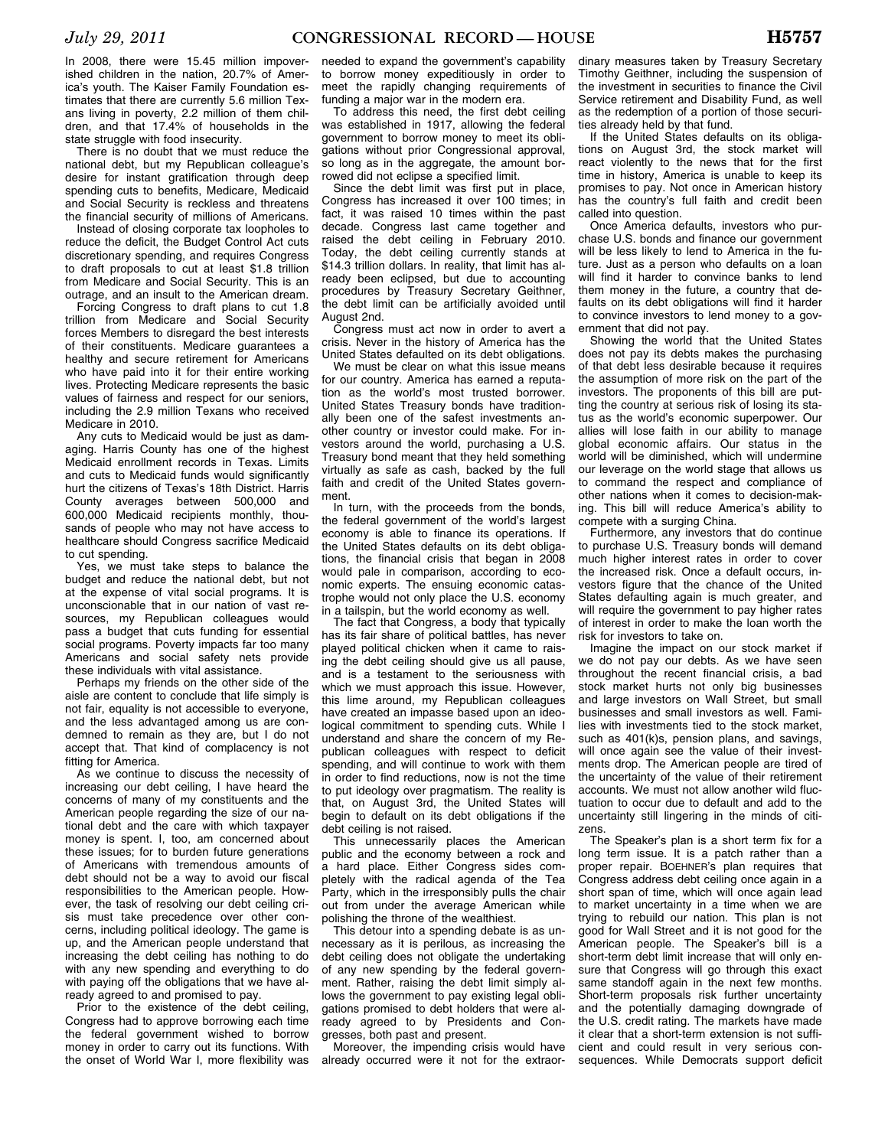state struggle with food insecurity. There is no doubt that we must reduce the national debt, but my Republican colleague's desire for instant gratification through deep spending cuts to benefits, Medicare, Medicaid and Social Security is reckless and threatens the financial security of millions of Americans.

Instead of closing corporate tax loopholes to reduce the deficit, the Budget Control Act cuts discretionary spending, and requires Congress to draft proposals to cut at least \$1.8 trillion from Medicare and Social Security. This is an outrage, and an insult to the American dream.

Forcing Congress to draft plans to cut 1.8 trillion from Medicare and Social Security forces Members to disregard the best interests of their constituents. Medicare guarantees a healthy and secure retirement for Americans who have paid into it for their entire working lives. Protecting Medicare represents the basic values of fairness and respect for our seniors, including the 2.9 million Texans who received Medicare in 2010.

Any cuts to Medicaid would be just as damaging. Harris County has one of the highest Medicaid enrollment records in Texas. Limits and cuts to Medicaid funds would significantly hurt the citizens of Texas's 18th District. Harris County averages between 500,000 and 600,000 Medicaid recipients monthly, thousands of people who may not have access to healthcare should Congress sacrifice Medicaid to cut spending.

Yes, we must take steps to balance the budget and reduce the national debt, but not at the expense of vital social programs. It is unconscionable that in our nation of vast resources, my Republican colleagues would pass a budget that cuts funding for essential social programs. Poverty impacts far too many Americans and social safety nets provide these individuals with vital assistance.

Perhaps my friends on the other side of the aisle are content to conclude that life simply is not fair, equality is not accessible to everyone, and the less advantaged among us are condemned to remain as they are, but I do not accept that. That kind of complacency is not fitting for America.

As we continue to discuss the necessity of increasing our debt ceiling, I have heard the concerns of many of my constituents and the American people regarding the size of our national debt and the care with which taxpayer money is spent. I, too, am concerned about these issues; for to burden future generations of Americans with tremendous amounts of debt should not be a way to avoid our fiscal responsibilities to the American people. However, the task of resolving our debt ceiling crisis must take precedence over other concerns, including political ideology. The game is up, and the American people understand that increasing the debt ceiling has nothing to do with any new spending and everything to do with paying off the obligations that we have already agreed to and promised to pay.

Prior to the existence of the debt ceiling, Congress had to approve borrowing each time the federal government wished to borrow money in order to carry out its functions. With the onset of World War I, more flexibility was

needed to expand the government's capability to borrow money expeditiously in order to meet the rapidly changing requirements of funding a major war in the modern era.

To address this need, the first debt ceiling was established in 1917, allowing the federal government to borrow money to meet its obligations without prior Congressional approval, so long as in the aggregate, the amount borrowed did not eclipse a specified limit.

Since the debt limit was first put in place. Congress has increased it over 100 times; in fact, it was raised 10 times within the past decade. Congress last came together and raised the debt ceiling in February 2010. Today, the debt ceiling currently stands at \$14.3 trillion dollars. In reality, that limit has already been eclipsed, but due to accounting procedures by Treasury Secretary Geithner, the debt limit can be artificially avoided until August 2nd.

Congress must act now in order to avert a crisis. Never in the history of America has the United States defaulted on its debt obligations.

We must be clear on what this issue means for our country. America has earned a reputation as the world's most trusted borrower. United States Treasury bonds have traditionally been one of the safest investments another country or investor could make. For investors around the world, purchasing a U.S. Treasury bond meant that they held something virtually as safe as cash, backed by the full faith and credit of the United States government.

In turn, with the proceeds from the bonds, the federal government of the world's largest economy is able to finance its operations. If the United States defaults on its debt obligations, the financial crisis that began in 2008 would pale in comparison, according to economic experts. The ensuing economic catastrophe would not only place the U.S. economy in a tailspin, but the world economy as well.

The fact that Congress, a body that typically has its fair share of political battles, has never played political chicken when it came to raising the debt ceiling should give us all pause, and is a testament to the seriousness with which we must approach this issue. However, this lime around, my Republican colleagues have created an impasse based upon an ideological commitment to spending cuts. While I understand and share the concern of my Republican colleagues with respect to deficit spending, and will continue to work with them in order to find reductions, now is not the time to put ideology over pragmatism. The reality is that, on August 3rd, the United States will begin to default on its debt obligations if the debt ceiling is not raised.

This unnecessarily places the American public and the economy between a rock and a hard place. Either Congress sides completely with the radical agenda of the Tea Party, which in the irresponsibly pulls the chair out from under the average American while polishing the throne of the wealthiest.

This detour into a spending debate is as unnecessary as it is perilous, as increasing the debt ceiling does not obligate the undertaking of any new spending by the federal government. Rather, raising the debt limit simply allows the government to pay existing legal obligations promised to debt holders that were already agreed to by Presidents and Congresses, both past and present.

Moreover, the impending crisis would have already occurred were it not for the extraor-

dinary measures taken by Treasury Secretary Timothy Geithner, including the suspension of the investment in securities to finance the Civil Service retirement and Disability Fund, as well as the redemption of a portion of those securities already held by that fund.

If the United States defaults on its obligations on August 3rd, the stock market will react violently to the news that for the first time in history, America is unable to keep its promises to pay. Not once in American history has the country's full faith and credit been called into question.

Once America defaults, investors who purchase U.S. bonds and finance our government will be less likely to lend to America in the future. Just as a person who defaults on a loan will find it harder to convince banks to lend them money in the future, a country that defaults on its debt obligations will find it harder to convince investors to lend money to a government that did not pay.

Showing the world that the United States does not pay its debts makes the purchasing of that debt less desirable because it requires the assumption of more risk on the part of the investors. The proponents of this bill are putting the country at serious risk of losing its status as the world's economic superpower. Our allies will lose faith in our ability to manage global economic affairs. Our status in the world will be diminished, which will undermine our leverage on the world stage that allows us to command the respect and compliance of other nations when it comes to decision-making. This bill will reduce America's ability to compete with a surging China.

Furthermore, any investors that do continue to purchase U.S. Treasury bonds will demand much higher interest rates in order to cover the increased risk. Once a default occurs, investors figure that the chance of the United States defaulting again is much greater, and will require the government to pay higher rates of interest in order to make the loan worth the risk for investors to take on.

Imagine the impact on our stock market if we do not pay our debts. As we have seen throughout the recent financial crisis, a bad stock market hurts not only big businesses and large investors on Wall Street, but small businesses and small investors as well. Families with investments tied to the stock market, such as 401(k)s, pension plans, and savings, will once again see the value of their investments drop. The American people are tired of the uncertainty of the value of their retirement accounts. We must not allow another wild fluctuation to occur due to default and add to the uncertainty still lingering in the minds of citizens.

The Speaker's plan is a short term fix for a long term issue. It is a patch rather than a proper repair. BOEHNER's plan requires that Congress address debt ceiling once again in a short span of time, which will once again lead to market uncertainty in a time when we are trying to rebuild our nation. This plan is not good for Wall Street and it is not good for the American people. The Speaker's bill is a short-term debt limit increase that will only ensure that Congress will go through this exact same standoff again in the next few months. Short-term proposals risk further uncertainty and the potentially damaging downgrade of the U.S. credit rating. The markets have made it clear that a short-term extension is not sufficient and could result in very serious consequences. While Democrats support deficit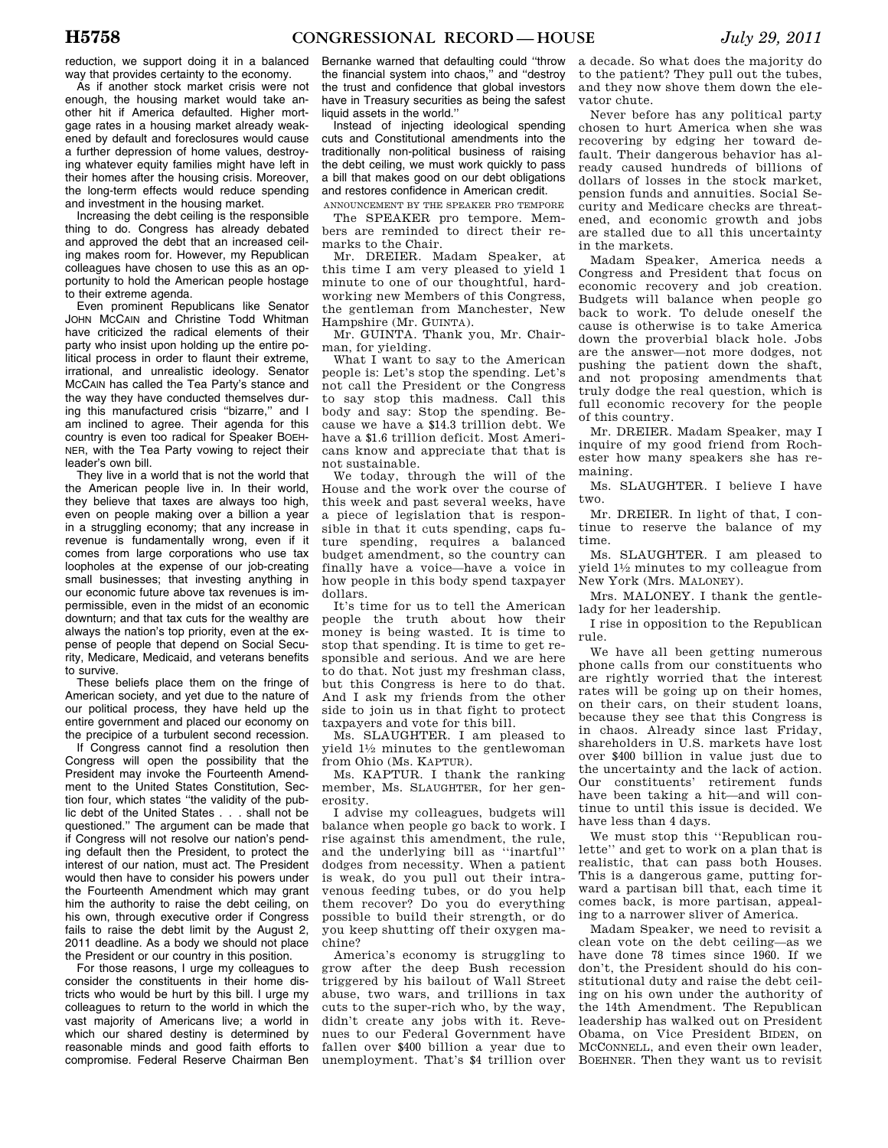reduction, we support doing it in a balanced way that provides certainty to the economy.

As if another stock market crisis were not enough, the housing market would take another hit if America defaulted. Higher mortgage rates in a housing market already weakened by default and foreclosures would cause a further depression of home values, destroying whatever equity families might have left in their homes after the housing crisis. Moreover, the long-term effects would reduce spending and investment in the housing market.

Increasing the debt ceiling is the responsible thing to do. Congress has already debated and approved the debt that an increased ceiling makes room for. However, my Republican colleagues have chosen to use this as an opportunity to hold the American people hostage to their extreme agenda.

Even prominent Republicans like Senator JOHN MCCAIN and Christine Todd Whitman have criticized the radical elements of their party who insist upon holding up the entire political process in order to flaunt their extreme, irrational, and unrealistic ideology. Senator MCCAIN has called the Tea Party's stance and the way they have conducted themselves during this manufactured crisis ''bizarre,'' and I am inclined to agree. Their agenda for this country is even too radical for Speaker BOEH-NER, with the Tea Party vowing to reject their leader's own bill.

They live in a world that is not the world that the American people live in. In their world, they believe that taxes are always too high, even on people making over a billion a year in a struggling economy; that any increase in revenue is fundamentally wrong, even if it comes from large corporations who use tax loopholes at the expense of our job-creating small businesses; that investing anything in our economic future above tax revenues is impermissible, even in the midst of an economic downturn; and that tax cuts for the wealthy are always the nation's top priority, even at the expense of people that depend on Social Security, Medicare, Medicaid, and veterans benefits to survive.

These beliefs place them on the fringe of American society, and yet due to the nature of our political process, they have held up the entire government and placed our economy on the precipice of a turbulent second recession.

If Congress cannot find a resolution then Congress will open the possibility that the President may invoke the Fourteenth Amendment to the United States Constitution, Section four, which states ''the validity of the public debt of the United States . . . shall not be questioned.'' The argument can be made that if Congress will not resolve our nation's pending default then the President, to protect the interest of our nation, must act. The President would then have to consider his powers under the Fourteenth Amendment which may grant him the authority to raise the debt ceiling, on his own, through executive order if Congress fails to raise the debt limit by the August 2, 2011 deadline. As a body we should not place the President or our country in this position.

For those reasons, I urge my colleagues to consider the constituents in their home districts who would be hurt by this bill. I urge my colleagues to return to the world in which the vast majority of Americans live; a world in which our shared destiny is determined by reasonable minds and good faith efforts to compromise. Federal Reserve Chairman Ben

Bernanke warned that defaulting could ''throw the financial system into chaos," and "destrov the trust and confidence that global investors have in Treasury securities as being the safest liquid assets in the world.''

Instead of injecting ideological spending cuts and Constitutional amendments into the traditionally non-political business of raising the debt ceiling, we must work quickly to pass a bill that makes good on our debt obligations and restores confidence in American credit.

ANNOUNCEMENT BY THE SPEAKER PRO TEMPORE The SPEAKER pro tempore. Members are reminded to direct their remarks to the Chair.

Mr. DREIER. Madam Speaker, at this time I am very pleased to yield 1 minute to one of our thoughtful, hardworking new Members of this Congress, the gentleman from Manchester, New Hampshire (Mr. GUINTA).

Mr. GUINTA. Thank you, Mr. Chairman, for yielding.

What I want to say to the American people is: Let's stop the spending. Let's not call the President or the Congress to say stop this madness. Call this body and say: Stop the spending. Because we have a \$14.3 trillion debt. We have a \$1.6 trillion deficit. Most Americans know and appreciate that that is not sustainable.

We today, through the will of the House and the work over the course of this week and past several weeks, have a piece of legislation that is responsible in that it cuts spending, caps future spending, requires a balanced budget amendment, so the country can finally have a voice—have a voice in how people in this body spend taxpayer dollars.

It's time for us to tell the American people the truth about how their money is being wasted. It is time to stop that spending. It is time to get responsible and serious. And we are here to do that. Not just my freshman class, but this Congress is here to do that. And I ask my friends from the other side to join us in that fight to protect taxpayers and vote for this bill.

Ms. SLAUGHTER. I am pleased to yield 11⁄2 minutes to the gentlewoman from Ohio (Ms. KAPTUR).

Ms. KAPTUR. I thank the ranking member, Ms. SLAUGHTER, for her generosity.

I advise my colleagues, budgets will balance when people go back to work. I rise against this amendment, the rule, and the underlying bill as ''inartful'' dodges from necessity. When a patient is weak, do you pull out their intravenous feeding tubes, or do you help them recover? Do you do everything possible to build their strength, or do you keep shutting off their oxygen machine?

America's economy is struggling to grow after the deep Bush recession triggered by his bailout of Wall Street abuse, two wars, and trillions in tax cuts to the super-rich who, by the way, didn't create any jobs with it. Revenues to our Federal Government have fallen over \$400 billion a year due to unemployment. That's \$4 trillion over a decade. So what does the majority do to the patient? They pull out the tubes, and they now shove them down the elevator chute.

Never before has any political party chosen to hurt America when she was recovering by edging her toward default. Their dangerous behavior has already caused hundreds of billions of dollars of losses in the stock market, pension funds and annuities. Social Security and Medicare checks are threatened, and economic growth and jobs are stalled due to all this uncertainty in the markets.

Madam Speaker, America needs a Congress and President that focus on economic recovery and job creation. Budgets will balance when people go back to work. To delude oneself the cause is otherwise is to take America down the proverbial black hole. Jobs are the answer—not more dodges, not pushing the patient down the shaft, and not proposing amendments that truly dodge the real question, which is full economic recovery for the people of this country.

Mr. DREIER. Madam Speaker, may I inquire of my good friend from Rochester how many speakers she has remaining.

Ms. SLAUGHTER. I believe I have two.

Mr. DREIER. In light of that, I continue to reserve the balance of my time.

Ms. SLAUGHTER. I am pleased to yield 11⁄2 minutes to my colleague from New York (Mrs. MALONEY).

Mrs. MALONEY. I thank the gentlelady for her leadership.

I rise in opposition to the Republican rule.

We have all been getting numerous phone calls from our constituents who are rightly worried that the interest rates will be going up on their homes, on their cars, on their student loans, because they see that this Congress is in chaos. Already since last Friday, shareholders in U.S. markets have lost over \$400 billion in value just due to the uncertainty and the lack of action. Our constituents' retirement funds have been taking a hit—and will continue to until this issue is decided. We have less than 4 days.

We must stop this ''Republican roulette'' and get to work on a plan that is realistic, that can pass both Houses. This is a dangerous game, putting forward a partisan bill that, each time it comes back, is more partisan, appealing to a narrower sliver of America.

Madam Speaker, we need to revisit a clean vote on the debt ceiling—as we have done 78 times since 1960. If we don't, the President should do his constitutional duty and raise the debt ceiling on his own under the authority of the 14th Amendment. The Republican leadership has walked out on President Obama, on Vice President BIDEN, on MCCONNELL, and even their own leader, BOEHNER. Then they want us to revisit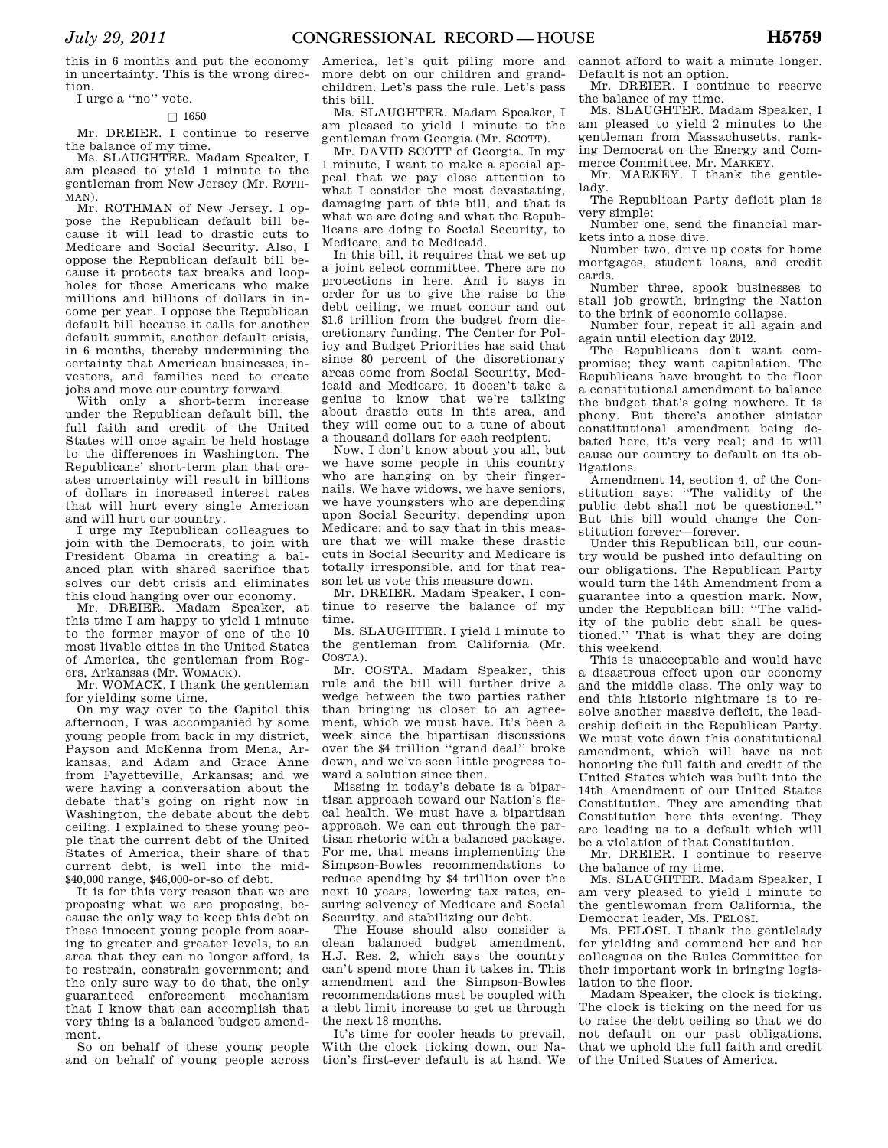this in 6 months and put the economy in uncertainty. This is the wrong direction.

## I urge a ''no'' vote.

#### $\Box$  1650

Mr. DREIER. I continue to reserve the balance of my time.

Ms. SLAUGHTER. Madam Speaker, I am pleased to yield 1 minute to the gentleman from New Jersey (Mr. ROTH-MAN).

Mr. ROTHMAN of New Jersey. I oppose the Republican default bill because it will lead to drastic cuts to Medicare and Social Security. Also, I oppose the Republican default bill because it protects tax breaks and loopholes for those Americans who make millions and billions of dollars in income per year. I oppose the Republican default bill because it calls for another default summit, another default crisis, in 6 months, thereby undermining the certainty that American businesses, investors, and families need to create jobs and move our country forward.

With only a short-term increase under the Republican default bill, the full faith and credit of the United States will once again be held hostage to the differences in Washington. The Republicans' short-term plan that creates uncertainty will result in billions of dollars in increased interest rates that will hurt every single American and will hurt our country.

I urge my Republican colleagues to join with the Democrats, to join with President Obama in creating a balanced plan with shared sacrifice that solves our debt crisis and eliminates this cloud hanging over our economy.

Mr. DREIER. Madam Speaker, at this time I am happy to yield 1 minute to the former mayor of one of the 10 most livable cities in the United States of America, the gentleman from Rogers, Arkansas (Mr. WOMACK).

Mr. WOMACK. I thank the gentleman for yielding some time.

On my way over to the Capitol this afternoon, I was accompanied by some young people from back in my district, Payson and McKenna from Mena, Arkansas, and Adam and Grace Anne from Fayetteville, Arkansas; and we were having a conversation about the debate that's going on right now in Washington, the debate about the debt ceiling. I explained to these young people that the current debt of the United States of America, their share of that current debt, is well into the mid- \$40,000 range, \$46,000-or-so of debt.

It is for this very reason that we are proposing what we are proposing, because the only way to keep this debt on these innocent young people from soaring to greater and greater levels, to an area that they can no longer afford, is to restrain, constrain government; and the only sure way to do that, the only guaranteed enforcement mechanism that I know that can accomplish that very thing is a balanced budget amendment.

So on behalf of these young people and on behalf of young people across America, let's quit piling more and more debt on our children and grandchildren. Let's pass the rule. Let's pass this bill.

Ms. SLAUGHTER. Madam Speaker, I am pleased to yield 1 minute to the gentleman from Georgia (Mr. SCOTT).

Mr. DAVID SCOTT of Georgia. In my 1 minute, I want to make a special appeal that we pay close attention to what I consider the most devastating, damaging part of this bill, and that is what we are doing and what the Republicans are doing to Social Security, to Medicare, and to Medicaid.

In this bill, it requires that we set up a joint select committee. There are no protections in here. And it says in order for us to give the raise to the debt ceiling, we must concur and cut \$1.6 trillion from the budget from discretionary funding. The Center for Policy and Budget Priorities has said that since 80 percent of the discretionary areas come from Social Security, Medicaid and Medicare, it doesn't take a genius to know that we're talking about drastic cuts in this area, and they will come out to a tune of about a thousand dollars for each recipient.

Now, I don't know about you all, but we have some people in this country who are hanging on by their fingernails. We have widows, we have seniors, we have youngsters who are depending upon Social Security, depending upon Medicare; and to say that in this measure that we will make these drastic cuts in Social Security and Medicare is totally irresponsible, and for that reason let us vote this measure down.

Mr. DREIER. Madam Speaker, I continue to reserve the balance of my time.

Ms. SLAUGHTER. I yield 1 minute to the gentleman from California (Mr. COSTA).

Mr. COSTA. Madam Speaker, this rule and the bill will further drive a wedge between the two parties rather than bringing us closer to an agreement, which we must have. It's been a week since the bipartisan discussions over the \$4 trillion ''grand deal'' broke down, and we've seen little progress toward a solution since then.

Missing in today's debate is a bipartisan approach toward our Nation's fiscal health. We must have a bipartisan approach. We can cut through the partisan rhetoric with a balanced package. For me, that means implementing the Simpson-Bowles recommendations to reduce spending by \$4 trillion over the next 10 years, lowering tax rates, ensuring solvency of Medicare and Social Security, and stabilizing our debt.

The House should also consider a clean balanced budget amendment, H.J. Res. 2, which says the country can't spend more than it takes in. This amendment and the Simpson-Bowles recommendations must be coupled with a debt limit increase to get us through the next 18 months.

It's time for cooler heads to prevail. With the clock ticking down, our Nation's first-ever default is at hand. We

cannot afford to wait a minute longer. Default is not an option.

Mr. DREIER. I continue to reserve the balance of my time.

Ms. SLAUGHTER. Madam Speaker, I am pleased to yield 2 minutes to the gentleman from Massachusetts, ranking Democrat on the Energy and Commerce Committee, Mr. MARKEY.

Mr. MARKEY. I thank the gentlelady.

The Republican Party deficit plan is very simple:

Number one, send the financial markets into a nose dive.

Number two, drive up costs for home mortgages, student loans, and credit cards.

Number three, spook businesses to stall job growth, bringing the Nation to the brink of economic collapse.

Number four, repeat it all again and again until election day 2012.

The Republicans don't want compromise; they want capitulation. The Republicans have brought to the floor a constitutional amendment to balance the budget that's going nowhere. It is phony. But there's another sinister constitutional amendment being debated here, it's very real; and it will cause our country to default on its obligations.

Amendment 14, section 4, of the Constitution says: ''The validity of the public debt shall not be questioned.'' But this bill would change the Constitution forever—forever.

Under this Republican bill, our country would be pushed into defaulting on our obligations. The Republican Party would turn the 14th Amendment from a guarantee into a question mark. Now, under the Republican bill: ''The validity of the public debt shall be questioned.'' That is what they are doing this weekend.

This is unacceptable and would have a disastrous effect upon our economy and the middle class. The only way to end this historic nightmare is to resolve another massive deficit, the leadership deficit in the Republican Party. We must vote down this constitutional amendment, which will have us not honoring the full faith and credit of the United States which was built into the 14th Amendment of our United States Constitution. They are amending that Constitution here this evening. They are leading us to a default which will be a violation of that Constitution.

Mr. DREIER. I continue to reserve the balance of my time.

Ms. SLAUGHTER. Madam Speaker, I am very pleased to yield 1 minute to the gentlewoman from California, the Democrat leader, Ms. PELOSI.

Ms. PELOSI. I thank the gentlelady for yielding and commend her and her colleagues on the Rules Committee for their important work in bringing legislation to the floor.

Madam Speaker, the clock is ticking. The clock is ticking on the need for us to raise the debt ceiling so that we do not default on our past obligations, that we uphold the full faith and credit of the United States of America.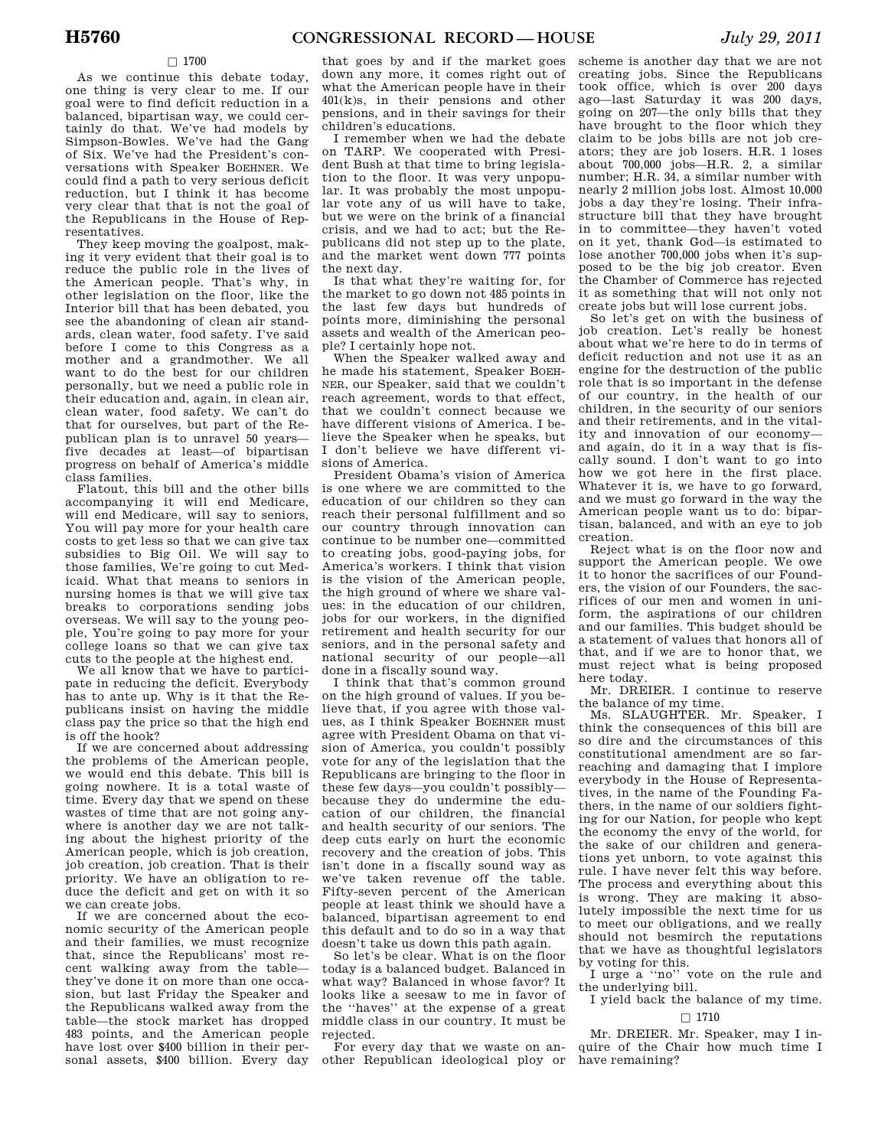#### $\square$  1700

As we continue this debate today, one thing is very clear to me. If our goal were to find deficit reduction in a balanced, bipartisan way, we could certainly do that. We've had models by Simpson-Bowles. We've had the Gang of Six. We've had the President's conversations with Speaker BOEHNER. We could find a path to very serious deficit reduction, but I think it has become very clear that that is not the goal of the Republicans in the House of Representatives.

They keep moving the goalpost, making it very evident that their goal is to reduce the public role in the lives of the American people. That's why, in other legislation on the floor, like the Interior bill that has been debated, you see the abandoning of clean air standards, clean water, food safety. I've said before I come to this Congress as a mother and a grandmother. We all want to do the best for our children personally, but we need a public role in their education and, again, in clean air, clean water, food safety. We can't do that for ourselves, but part of the Republican plan is to unravel 50 years five decades at least—of bipartisan progress on behalf of America's middle class families.

Flatout, this bill and the other bills accompanying it will end Medicare, will end Medicare, will say to seniors, You will pay more for your health care costs to get less so that we can give tax subsidies to Big Oil. We will say to those families, We're going to cut Medicaid. What that means to seniors in nursing homes is that we will give tax breaks to corporations sending jobs overseas. We will say to the young people, You're going to pay more for your college loans so that we can give tax cuts to the people at the highest end.

We all know that we have to participate in reducing the deficit. Everybody has to ante up. Why is it that the Republicans insist on having the middle class pay the price so that the high end is off the hook?

If we are concerned about addressing the problems of the American people, we would end this debate. This bill is going nowhere. It is a total waste of time. Every day that we spend on these wastes of time that are not going anywhere is another day we are not talking about the highest priority of the American people, which is job creation, job creation, job creation. That is their priority. We have an obligation to reduce the deficit and get on with it so we can create jobs.

If we are concerned about the economic security of the American people and their families, we must recognize that, since the Republicans' most recent walking away from the table they've done it on more than one occasion, but last Friday the Speaker and the Republicans walked away from the table—the stock market has dropped 483 points, and the American people have lost over \$400 billion in their personal assets, \$400 billion. Every day that goes by and if the market goes down any more, it comes right out of what the American people have in their 401(k)s, in their pensions and other pensions, and in their savings for their children's educations.

I remember when we had the debate on TARP. We cooperated with President Bush at that time to bring legislation to the floor. It was very unpopular. It was probably the most unpopular vote any of us will have to take, but we were on the brink of a financial crisis, and we had to act; but the Republicans did not step up to the plate, and the market went down 777 points the next day.

Is that what they're waiting for, for the market to go down not 485 points in the last few days but hundreds of points more, diminishing the personal assets and wealth of the American people? I certainly hope not.

When the Speaker walked away and he made his statement, Speaker BOEH-NER, our Speaker, said that we couldn't reach agreement, words to that effect, that we couldn't connect because we have different visions of America. I believe the Speaker when he speaks, but I don't believe we have different visions of America.

President Obama's vision of America is one where we are committed to the education of our children so they can reach their personal fulfillment and so our country through innovation can continue to be number one—committed to creating jobs, good-paying jobs, for America's workers. I think that vision is the vision of the American people, the high ground of where we share values: in the education of our children, jobs for our workers, in the dignified retirement and health security for our seniors, and in the personal safety and national security of our people—all done in a fiscally sound way.

I think that that's common ground on the high ground of values. If you believe that, if you agree with those values, as I think Speaker BOEHNER must agree with President Obama on that vision of America, you couldn't possibly vote for any of the legislation that the Republicans are bringing to the floor in these few days—you couldn't possibly because they do undermine the education of our children, the financial and health security of our seniors. The deep cuts early on hurt the economic recovery and the creation of jobs. This isn't done in a fiscally sound way as we've taken revenue off the table. Fifty-seven percent of the American people at least think we should have a balanced, bipartisan agreement to end this default and to do so in a way that doesn't take us down this path again.

So let's be clear. What is on the floor today is a balanced budget. Balanced in what way? Balanced in whose favor? It looks like a seesaw to me in favor of the ''haves'' at the expense of a great middle class in our country. It must be rejected.

For every day that we waste on another Republican ideological ploy or

scheme is another day that we are not creating jobs. Since the Republicans took office, which is over 200 days ago—last Saturday it was 200 days, going on 207—the only bills that they have brought to the floor which they claim to be jobs bills are not job creators; they are job losers. H.R. 1 loses about 700,000 jobs—H.R. 2, a similar number; H.R. 34, a similar number with nearly 2 million jobs lost. Almost 10,000 jobs a day they're losing. Their infrastructure bill that they have brought in to committee—they haven't voted on it yet, thank God—is estimated to lose another 700,000 jobs when it's supposed to be the big job creator. Even the Chamber of Commerce has rejected it as something that will not only not create jobs but will lose current jobs.

So let's get on with the business of job creation. Let's really be honest about what we're here to do in terms of deficit reduction and not use it as an engine for the destruction of the public role that is so important in the defense of our country, in the health of our children, in the security of our seniors and their retirements, and in the vitality and innovation of our economy and again, do it in a way that is fiscally sound. I don't want to go into how we got here in the first place. Whatever it is, we have to go forward, and we must go forward in the way the American people want us to do: bipartisan, balanced, and with an eye to job creation.

Reject what is on the floor now and support the American people. We owe it to honor the sacrifices of our Founders, the vision of our Founders, the sacrifices of our men and women in uniform, the aspirations of our children and our families. This budget should be a statement of values that honors all of that, and if we are to honor that, we must reject what is being proposed here today.

Mr. DREIER. I continue to reserve the balance of my time.

Ms. SLAUGHTER. Mr. Speaker, I think the consequences of this bill are so dire and the circumstances of this constitutional amendment are so farreaching and damaging that I implore everybody in the House of Representatives, in the name of the Founding Fathers, in the name of our soldiers fighting for our Nation, for people who kept the economy the envy of the world, for the sake of our children and generations yet unborn, to vote against this rule. I have never felt this way before. The process and everything about this is wrong. They are making it absolutely impossible the next time for us to meet our obligations, and we really should not besmirch the reputations that we have as thoughtful legislators by voting for this.

I urge a ''no'' vote on the rule and the underlying bill.

I yield back the balance of my time.

# $\Box$  1710

Mr. DREIER. Mr. Speaker, may I inquire of the Chair how much time I have remaining?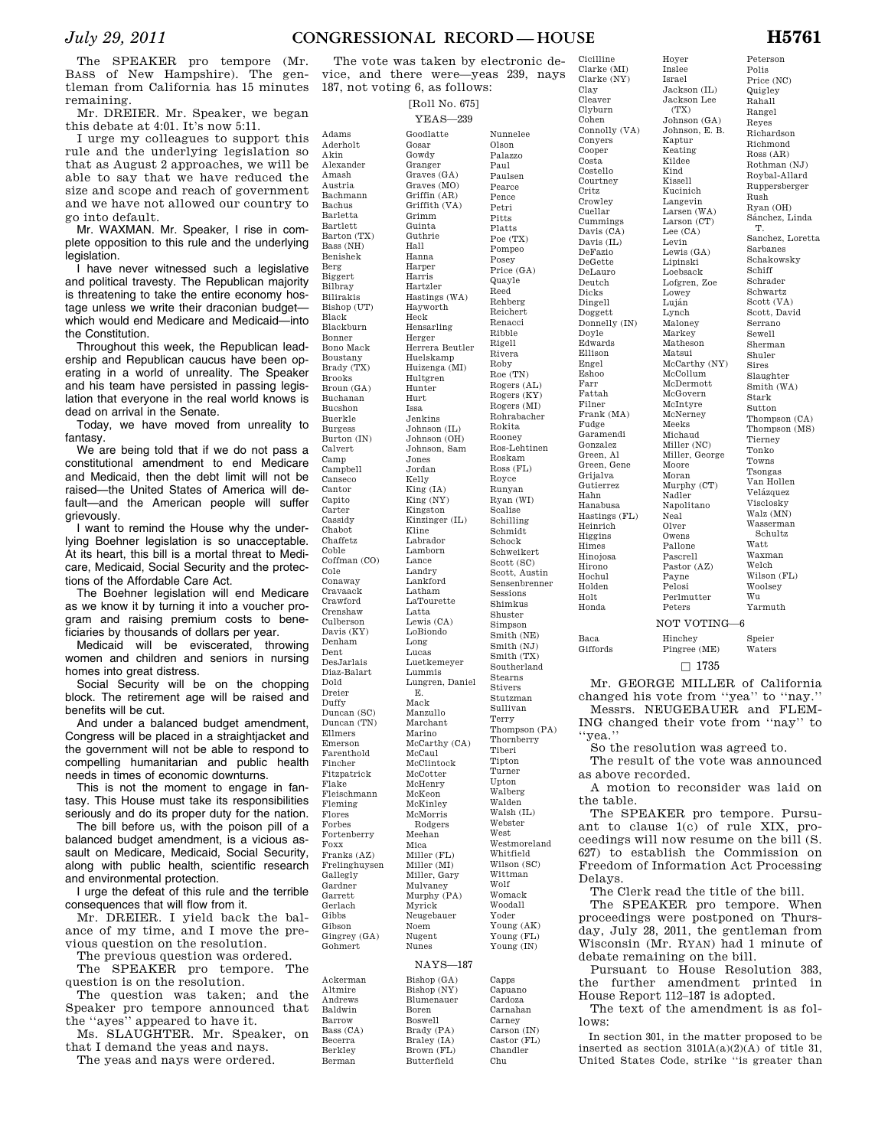# *July 29, 2011* **CONGRESSIONAL RECORD — HOUSE H5761**

The SPEAKER pro tempore (Mr. BASS of New Hampshire). The gentleman from California has 15 minutes remaining.

Mr. DREIER. Mr. Speaker, we began this debate at 4:01. It's now 5:11.

I urge my colleagues to support this rule and the underlying legislation so that as August 2 approaches, we will be able to say that we have reduced the size and scope and reach of government and we have not allowed our country to go into default.

Mr. WAXMAN. Mr. Speaker, I rise in complete opposition to this rule and the underlying legislation.

I have never witnessed such a legislative and political travesty. The Republican majority is threatening to take the entire economy hostage unless we write their draconian budget which would end Medicare and Medicaid—into the Constitution.

Throughout this week, the Republican leadership and Republican caucus have been operating in a world of unreality. The Speaker and his team have persisted in passing legislation that everyone in the real world knows is dead on arrival in the Senate.

Today, we have moved from unreality to fantasy.

We are being told that if we do not pass a constitutional amendment to end Medicare and Medicaid, then the debt limit will not be raised—the United States of America will default—and the American people will suffer grievously.

I want to remind the House why the underlying Boehner legislation is so unacceptable. At its heart, this bill is a mortal threat to Medicare, Medicaid, Social Security and the protections of the Affordable Care Act.

The Boehner legislation will end Medicare as we know it by turning it into a voucher program and raising premium costs to beneficiaries by thousands of dollars per year.

Medicaid will be eviscerated, throwing women and children and seniors in nursing homes into great distress.

Social Security will be on the chopping block. The retirement age will be raised and benefits will be cut.

And under a balanced budget amendment, Congress will be placed in a straightjacket and the government will not be able to respond to compelling humanitarian and public health needs in times of economic downturns.

This is not the moment to engage in fantasy. This House must take its responsibilities seriously and do its proper duty for the nation.

The bill before us, with the poison pill of a balanced budget amendment, is a vicious assault on Medicare, Medicaid, Social Security, along with public health, scientific research and environmental protection.

I urge the defeat of this rule and the terrible consequences that will flow from it.

Mr. DREIER. I yield back the balance of my time, and I move the previous question on the resolution.

The previous question was ordered.

The SPEAKER pro tempore. The question is on the resolution.

The question was taken; and the Speaker pro tempore announced that the ''ayes'' appeared to have it.

Ms. SLAUGHTER. Mr. Speaker, on that I demand the yeas and nays.

The yeas and nays were ordered.

The vote was taken by electronic device, and there were—yeas 239, nays 187, not voting 6, as follows: Cicilline

> [Roll No. 675] YEAS—239

Adams Aderholt Akin

Amash Austria

Bachus Barletta Bartlett

Benishek Berg Biggert Bilbray Bilirakis

Black

Bonner

Brooks

Bucshon Buerkle Burgess

Calvert Camp

Canseco Cantor Capito Carter Cassidy Chabot Chaffetz Coble

Cole Conaway

Denham Dent

Dold Dreier Duffy

Ellmers Emerson

Fincher

Fleming Flores Forbes

Flake

Foxx

Gallegly Gardner Garrett Gerlach Gibbs Gibson

Gohmert

Ackerman Altmire Andrews Baldwin Barrow Bass (CA) Becerra Berkley Berman

Alexander Bachmann Barton (TX) Bass (NH) Bishop (UT) Blackburn Bono Mack Boustany Brady (TX) Broun (GA) Buchanan Burton (IN) Campbell Coffman (CO) Cravaack Crawford Crenshaw Culberson Davis (KY) DesJarlais Diaz-Balart Duncan (SC) Duncan (TN) Farenthold Fitzpatrick Fleischmann Fortenberry Franks (AZ) Frelinghuysen Gingrey (GA) Goodlatte Gosar Gowdy Granger Graves (GA) Graves (MO) Griffin (AR) Griffith (VA) Grimm Guinta Guthrie Hall Hanna Harper Harris Hartzler Hastings (WA) Hayworth Heck Hensarling Herger Herrera Beutler Huelskamp Huizenga (MI) Hultgren Hunter Hurt Issa Jenkins Johnson (IL) Johnson (OH) Johnson, Sam Jones Jordan Kelly King (IA) King (NY) Kingston Kinzinger (IL) Kline Labrador Lamborn Lance Landry Lankford Latham LaTourette Latta Lewis (CA) LoBiondo Long Lucas Luetkemeyer Lummis Lungren, Daniel E. Mack Manzullo Marchant Marino McCarthy (CA) McCaul McClintock McCotter McHenry McKeon McKinley McMorris Rodgers Meehan Mica Miller (FL) Miller (MI) Miller, Gary Mulvaney Murphy (PA) Myrick Neugebauer Noem Nugent Nunes NAYS—187

Nunnelee Olson Palazzo Paul Paulsen Pearce Pence Petri Pitts Platts Poe (TX) Pompeo Posey Price (GA) Quayle Reed Rehberg Reichert Renacci Ribble Rigell Rivera Roby Roe (TN) Rogers (AL) Rogers (KY) Rogers (MI) Rohrabacher Rokita Rooney Ros-Lehtinen Roskam Ross (FL) Royce Runyan Ryan (WI) Scalise Schilling Schmidt Schock Schweikert Scott (SC) Scott, Austin Sensenbrenner Sessions Shimkus Shuster Simpson Smith (NE) Smith (NJ) Smith (TX) Southerland Stearns Stivers Stutzman Sullivan Terry Thompson (PA) Thornberry Tiberi Tipton Turner Upton Walberg Walden Walsh (IL) Webster West Westmoreland Whitfield Wilson (SC) Wittman Wolf Womack Woodall Yoder Young (AK) Young (FL) Young (IN)

> Capps Capuano Cardoza Carnahan Carney Carson (IN) Castor (FL) Chandler Chu

Bishop (GA) Bishop (NY) Blumenauer Boren Boswell Brady (PA) Braley (IA) Brown (FL) Butterfield

Clarke (MI) Clarke (NY) Clay Cleaver Clyburn Cohen Connolly (VA) Conyers Cooper Costa Costello Courtney Critz Crowley Cuellar Cummings Davis (CA) Davis (IL) DeFazio DeGette DeLauro Deutch Dicks Dingell Doggett Donnelly (IN) Doyle Edwards Ellison Engel Eshoo Farr Fattah Filner Frank (MA) Fudge Garamendi Gonzalez Green, Al Green, Gene Grijalva Gutierrez Hahn Hanabusa Hastings (FL) Heinrich Higgins Himes Hinojosa Hirono Hochul Holden Holt Honda

Hoyer Inslee Israel Jackson (IL) Jackson Lee  $(TX)$ 

Kaptur Keating Kildee Kind Kissell Kucinich Langevin Larsen (WA) Larson (CT) Lee (CA) Levin Lewis (GA) Lipinski Loebsack Lofgren, Zoe Lowey Luján Lynch Maloney Markey Matheson Matsui

McCollum McDermott McGovern McIntyre McNerney Meeks Michaud Miller (NC)

Moore Moran Murphy (CT) Nadler Napolitano Neal Olver Owens Pallone Pascrell Pastor (AZ) Payne Pelosi Perlmutter Peters

Johnson (GA) Johnson, E. B. McCarthy (NY) Miller, George Polis Price (NC) Quigley Rahall Rangel Reyes Richardson Richmond Ross (AR) Rothman (NJ) Roybal-Allard Ruppersberger Rush Ryan (OH) Sánchez, Linda T. Sanchez, Loretta Sarbanes Schakowsky Schiff Schrader Schwartz Scott (VA) Scott, David Serrano Sewell Sherman Shuler Sires Slaughter Smith (WA) Stark Sutton Thompson (CA) Thompson (MS) Tierney Tonko Towns Tsongas Van Hollen Velázquez Visclosky Walz (MN) Wasserman Schultz Watt Waxman Welch Wilson (FL) Woolsey Wu Yarmuth

# NOT VOTING—6

Speier Waters

Baca Giffords

## Pingree (ME)  $\Box$  1735

Hinchey

Mr. GEORGE MILLER of California changed his vote from ''yea'' to ''nay.'' Messrs. NEUGEBAUER and FLEM-

ING changed their vote from ''nay'' to ''yea.''

So the resolution was agreed to.

The result of the vote was announced as above recorded.

A motion to reconsider was laid on the table.

The SPEAKER pro tempore. Pursuant to clause 1(c) of rule XIX, proceedings will now resume on the bill (S. 627) to establish the Commission on Freedom of Information Act Processing Delays.

The Clerk read the title of the bill.

The SPEAKER pro tempore. When proceedings were postponed on Thursday, July 28, 2011, the gentleman from Wisconsin (Mr. RYAN) had 1 minute of debate remaining on the bill.

Pursuant to House Resolution 383, the further amendment printed in House Report 112–187 is adopted.

The text of the amendment is as follows:

In section 301, in the matter proposed to be inserted as section  $3101A(a)(2)(A)$  of title 31, United States Code, strike ''is greater than

Peterson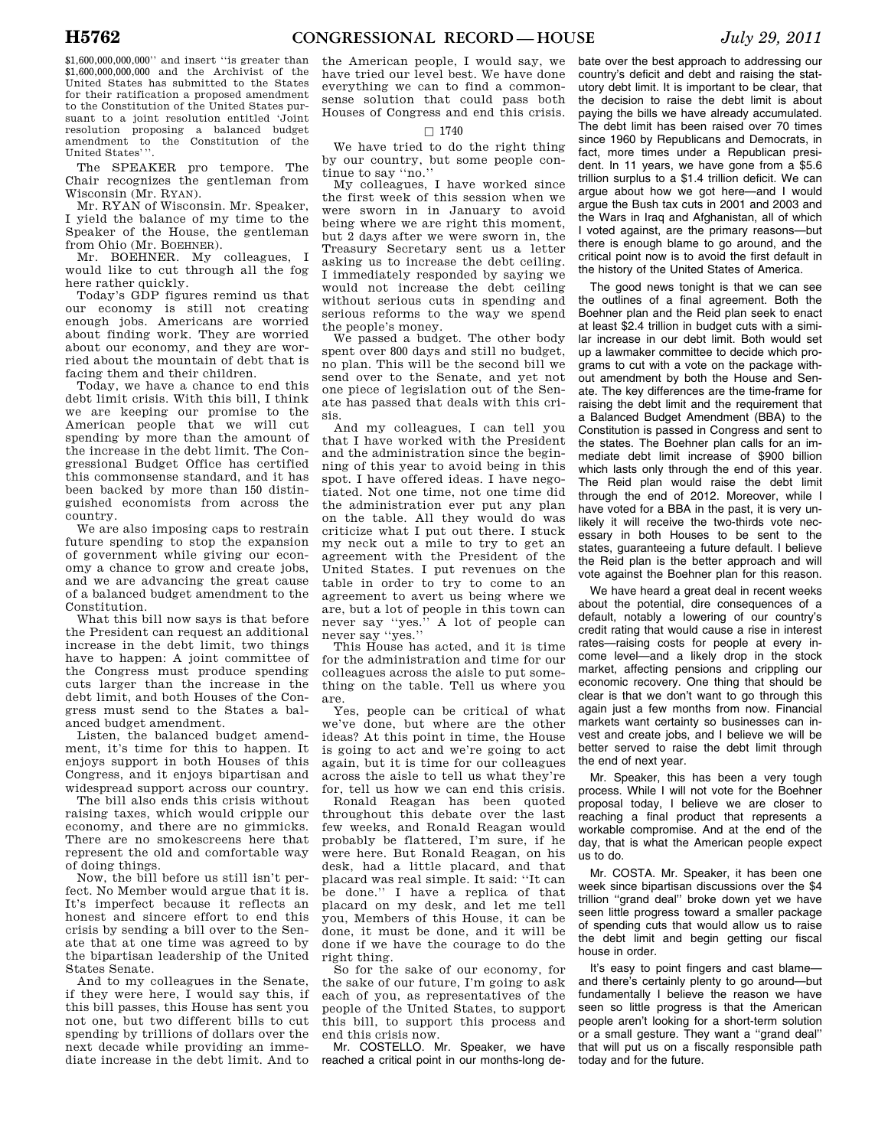\$1,600,000,000,000'' and insert ''is greater than \$1,600,000,000,000 and the Archivist of the United States has submitted to the States for their ratification a proposed amendment to the Constitution of the United States pursuant to a joint resolution entitled 'Joint resolution proposing a balanced budget amendment to the Constitution of the United States'''.

The SPEAKER pro tempore. The Chair recognizes the gentleman from Wisconsin (Mr. RYAN).

Mr. RYAN of Wisconsin. Mr. Speaker, I yield the balance of my time to the Speaker of the House, the gentleman from Ohio (Mr. BOEHNER).

Mr. BOEHNER. My colleagues, I would like to cut through all the fog here rather quickly.

Today's GDP figures remind us that our economy is still not creating enough jobs. Americans are worried about finding work. They are worried about our economy, and they are worried about the mountain of debt that is facing them and their children.

Today, we have a chance to end this debt limit crisis. With this bill, I think we are keeping our promise to the American people that we will cut spending by more than the amount of the increase in the debt limit. The Congressional Budget Office has certified this commonsense standard, and it has been backed by more than 150 distinguished economists from across the country.

We are also imposing caps to restrain future spending to stop the expansion of government while giving our economy a chance to grow and create jobs, and we are advancing the great cause of a balanced budget amendment to the Constitution.

What this bill now says is that before the President can request an additional increase in the debt limit, two things have to happen: A joint committee of the Congress must produce spending cuts larger than the increase in the debt limit, and both Houses of the Congress must send to the States a balanced budget amendment.

Listen, the balanced budget amendment, it's time for this to happen. It enjoys support in both Houses of this Congress, and it enjoys bipartisan and widespread support across our country.

The bill also ends this crisis without raising taxes, which would cripple our economy, and there are no gimmicks. There are no smokescreens here that represent the old and comfortable way of doing things.

Now, the bill before us still isn't perfect. No Member would argue that it is. It's imperfect because it reflects an honest and sincere effort to end this crisis by sending a bill over to the Senate that at one time was agreed to by the bipartisan leadership of the United States Senate.

And to my colleagues in the Senate, if they were here, I would say this, if this bill passes, this House has sent you not one, but two different bills to cut spending by trillions of dollars over the next decade while providing an immediate increase in the debt limit. And to

the American people, I would say, we have tried our level best. We have done everything we can to find a commonsense solution that could pass both Houses of Congress and end this crisis.

### $\Box$  1740

We have tried to do the right thing by our country, but some people continue to say ''no.''

My colleagues, I have worked since the first week of this session when we were sworn in in January to avoid being where we are right this moment, but 2 days after we were sworn in, the Treasury Secretary sent us a letter asking us to increase the debt ceiling. I immediately responded by saying we would not increase the debt ceiling without serious cuts in spending and serious reforms to the way we spend the people's money.

We passed a budget. The other body spent over 800 days and still no budget, no plan. This will be the second bill we send over to the Senate, and yet not one piece of legislation out of the Senate has passed that deals with this crisis.

And my colleagues, I can tell you that I have worked with the President and the administration since the beginning of this year to avoid being in this spot. I have offered ideas. I have negotiated. Not one time, not one time did the administration ever put any plan on the table. All they would do was criticize what I put out there. I stuck my neck out a mile to try to get an agreement with the President of the United States. I put revenues on the table in order to try to come to an agreement to avert us being where we are, but a lot of people in this town can never say ''yes.'' A lot of people can never say ''yes.''

This House has acted, and it is time for the administration and time for our colleagues across the aisle to put something on the table. Tell us where you are.

Yes, people can be critical of what we've done, but where are the other ideas? At this point in time, the House is going to act and we're going to act again, but it is time for our colleagues across the aisle to tell us what they're for, tell us how we can end this crisis.

Ronald Reagan has been quoted throughout this debate over the last few weeks, and Ronald Reagan would probably be flattered, I'm sure, if he were here. But Ronald Reagan, on his desk, had a little placard, and that placard was real simple. It said: ''It can be done." I have a replica of that placard on my desk, and let me tell you, Members of this House, it can be done, it must be done, and it will be done if we have the courage to do the right thing.

So for the sake of our economy, for the sake of our future, I'm going to ask each of you, as representatives of the people of the United States, to support this bill, to support this process and end this crisis now.

Mr. COSTELLO. Mr. Speaker, we have reached a critical point in our months-long de-

bate over the best approach to addressing our country's deficit and debt and raising the statutory debt limit. It is important to be clear, that the decision to raise the debt limit is about paying the bills we have already accumulated. The debt limit has been raised over 70 times since 1960 by Republicans and Democrats, in fact, more times under a Republican president. In 11 years, we have gone from a \$5.6 trillion surplus to a \$1.4 trillion deficit. We can argue about how we got here—and I would argue the Bush tax cuts in 2001 and 2003 and the Wars in Iraq and Afghanistan, all of which I voted against, are the primary reasons—but there is enough blame to go around, and the critical point now is to avoid the first default in the history of the United States of America.

The good news tonight is that we can see the outlines of a final agreement. Both the Boehner plan and the Reid plan seek to enact at least \$2.4 trillion in budget cuts with a similar increase in our debt limit. Both would set up a lawmaker committee to decide which programs to cut with a vote on the package without amendment by both the House and Senate. The key differences are the time-frame for raising the debt limit and the requirement that a Balanced Budget Amendment (BBA) to the Constitution is passed in Congress and sent to the states. The Boehner plan calls for an immediate debt limit increase of \$900 billion which lasts only through the end of this year. The Reid plan would raise the debt limit through the end of 2012. Moreover, while I have voted for a BBA in the past, it is very unlikely it will receive the two-thirds vote necessary in both Houses to be sent to the states, guaranteeing a future default. I believe the Reid plan is the better approach and will vote against the Boehner plan for this reason.

We have heard a great deal in recent weeks about the potential, dire consequences of a default, notably a lowering of our country's credit rating that would cause a rise in interest rates—raising costs for people at every income level—and a likely drop in the stock market, affecting pensions and crippling our economic recovery. One thing that should be clear is that we don't want to go through this again just a few months from now. Financial markets want certainty so businesses can invest and create jobs, and I believe we will be better served to raise the debt limit through the end of next year.

Mr. Speaker, this has been a very tough process. While I will not vote for the Boehner proposal today, I believe we are closer to reaching a final product that represents a workable compromise. And at the end of the day, that is what the American people expect us to do.

Mr. COSTA. Mr. Speaker, it has been one week since bipartisan discussions over the \$4 trillion ''grand deal'' broke down yet we have seen little progress toward a smaller package of spending cuts that would allow us to raise the debt limit and begin getting our fiscal house in order.

It's easy to point fingers and cast blame and there's certainly plenty to go around—but fundamentally I believe the reason we have seen so little progress is that the American people aren't looking for a short-term solution or a small gesture. They want a ''grand deal'' that will put us on a fiscally responsible path today and for the future.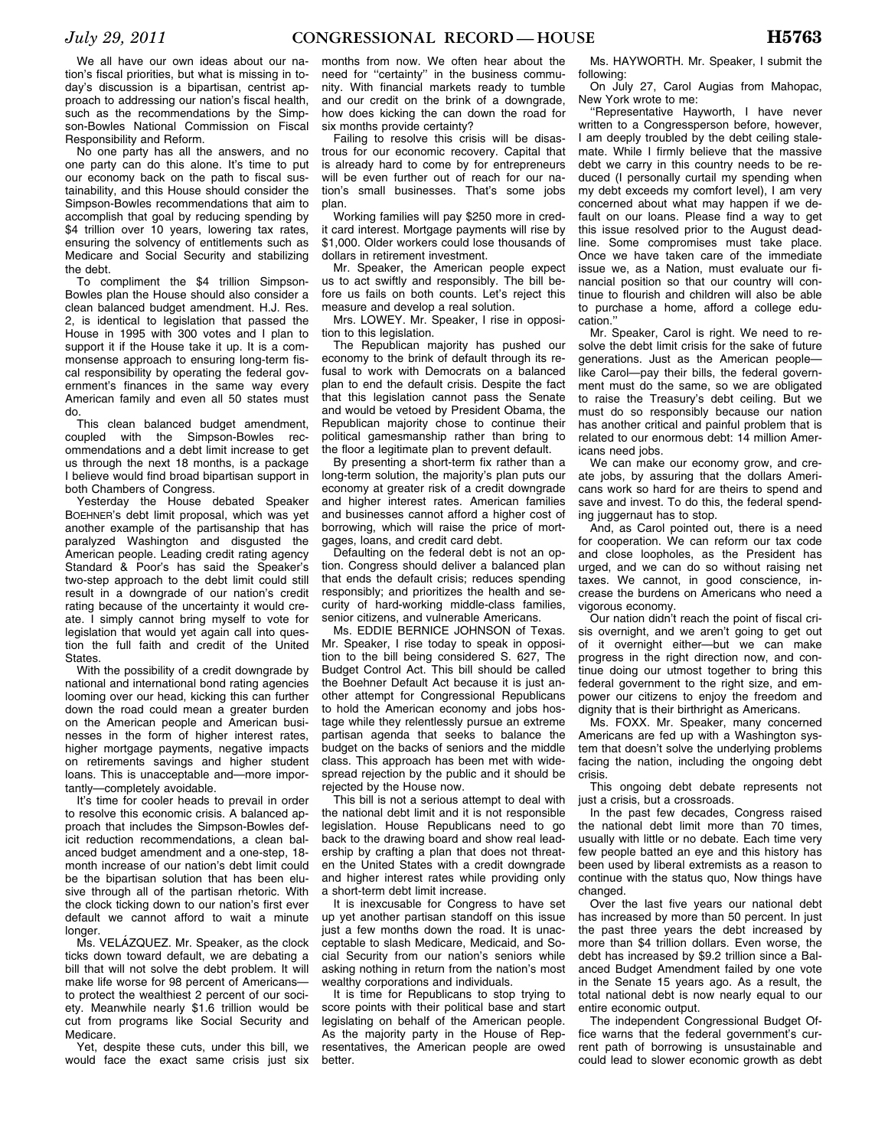We all have our own ideas about our nation's fiscal priorities, but what is missing in today's discussion is a bipartisan, centrist approach to addressing our nation's fiscal health, such as the recommendations by the Simpson-Bowles National Commission on Fiscal Responsibility and Reform.

No one party has all the answers, and no one party can do this alone. It's time to put our economy back on the path to fiscal sustainability, and this House should consider the Simpson-Bowles recommendations that aim to accomplish that goal by reducing spending by \$4 trillion over 10 years, lowering tax rates, ensuring the solvency of entitlements such as Medicare and Social Security and stabilizing the debt.

To compliment the \$4 trillion Simpson-Bowles plan the House should also consider a clean balanced budget amendment. H.J. Res. 2, is identical to legislation that passed the House in 1995 with 300 votes and I plan to support it if the House take it up. It is a commonsense approach to ensuring long-term fiscal responsibility by operating the federal government's finances in the same way every American family and even all 50 states must do.

This clean balanced budget amendment, coupled with the Simpson-Bowles recommendations and a debt limit increase to get us through the next 18 months, is a package I believe would find broad bipartisan support in both Chambers of Congress.

Yesterday the House debated Speaker BOEHNER's debt limit proposal, which was yet another example of the partisanship that has paralyzed Washington and disgusted the American people. Leading credit rating agency Standard & Poor's has said the Speaker's two-step approach to the debt limit could still result in a downgrade of our nation's credit rating because of the uncertainty it would create. I simply cannot bring myself to vote for legislation that would yet again call into question the full faith and credit of the United **States** 

With the possibility of a credit downgrade by national and international bond rating agencies looming over our head, kicking this can further down the road could mean a greater burden on the American people and American businesses in the form of higher interest rates, higher mortgage payments, negative impacts on retirements savings and higher student loans. This is unacceptable and—more importantly—completely avoidable.

It's time for cooler heads to prevail in order to resolve this economic crisis. A balanced approach that includes the Simpson-Bowles deficit reduction recommendations, a clean balanced budget amendment and a one-step, 18 month increase of our nation's debt limit could be the bipartisan solution that has been elusive through all of the partisan rhetoric. With the clock ticking down to our nation's first ever default we cannot afford to wait a minute longer.

nge...<br>Ms. VELÁZQUEZ. Mr. Speaker, as the clock ticks down toward default, we are debating a bill that will not solve the debt problem. It will make life worse for 98 percent of Americans to protect the wealthiest 2 percent of our society. Meanwhile nearly \$1.6 trillion would be cut from programs like Social Security and Medicare.

Yet, despite these cuts, under this bill, we would face the exact same crisis just six

months from now. We often hear about the need for ''certainty'' in the business community. With financial markets ready to tumble and our credit on the brink of a downgrade, how does kicking the can down the road for six months provide certainty?

Failing to resolve this crisis will be disastrous for our economic recovery. Capital that is already hard to come by for entrepreneurs will be even further out of reach for our nation's small businesses. That's some jobs plan.

Working families will pay \$250 more in credit card interest. Mortgage payments will rise by \$1,000. Older workers could lose thousands of dollars in retirement investment.

Mr. Speaker, the American people expect us to act swiftly and responsibly. The bill before us fails on both counts. Let's reject this measure and develop a real solution.

Mrs. LOWEY. Mr. Speaker, I rise in opposition to this legislation.

The Republican majority has pushed our economy to the brink of default through its refusal to work with Democrats on a balanced plan to end the default crisis. Despite the fact that this legislation cannot pass the Senate and would be vetoed by President Obama, the Republican majority chose to continue their political gamesmanship rather than bring to the floor a legitimate plan to prevent default.

By presenting a short-term fix rather than a long-term solution, the majority's plan puts our economy at greater risk of a credit downgrade and higher interest rates. American families and businesses cannot afford a higher cost of borrowing, which will raise the price of mortgages, loans, and credit card debt.

Defaulting on the federal debt is not an option. Congress should deliver a balanced plan that ends the default crisis; reduces spending responsibly; and prioritizes the health and security of hard-working middle-class families, senior citizens, and vulnerable Americans.

Ms. EDDIE BERNICE JOHNSON of Texas. Mr. Speaker, I rise today to speak in opposition to the bill being considered S. 627, The Budget Control Act. This bill should be called the Boehner Default Act because it is just another attempt for Congressional Republicans to hold the American economy and jobs hostage while they relentlessly pursue an extreme partisan agenda that seeks to balance the budget on the backs of seniors and the middle class. This approach has been met with widespread rejection by the public and it should be rejected by the House now.

This bill is not a serious attempt to deal with the national debt limit and it is not responsible legislation. House Republicans need to go back to the drawing board and show real leadership by crafting a plan that does not threaten the United States with a credit downgrade and higher interest rates while providing only a short-term debt limit increase.

It is inexcusable for Congress to have set up yet another partisan standoff on this issue just a few months down the road. It is unacceptable to slash Medicare, Medicaid, and Social Security from our nation's seniors while asking nothing in return from the nation's most wealthy corporations and individuals.

It is time for Republicans to stop trying to score points with their political base and start legislating on behalf of the American people. As the majority party in the House of Representatives, the American people are owed better.

Ms. HAYWORTH. Mr. Speaker, I submit the following:

On July 27, Carol Augias from Mahopac, New York wrote to me:

''Representative Hayworth, I have never written to a Congressperson before, however, I am deeply troubled by the debt ceiling stalemate. While I firmly believe that the massive debt we carry in this country needs to be reduced (I personally curtail my spending when my debt exceeds my comfort level), I am very concerned about what may happen if we default on our loans. Please find a way to get this issue resolved prior to the August deadline. Some compromises must take place. Once we have taken care of the immediate issue we, as a Nation, must evaluate our financial position so that our country will continue to flourish and children will also be able to purchase a home, afford a college education.''

Mr. Speaker, Carol is right. We need to resolve the debt limit crisis for the sake of future generations. Just as the American people like Carol-pay their bills, the federal government must do the same, so we are obligated to raise the Treasury's debt ceiling. But we must do so responsibly because our nation has another critical and painful problem that is related to our enormous debt: 14 million Americans need jobs.

We can make our economy grow, and create jobs, by assuring that the dollars Americans work so hard for are theirs to spend and save and invest. To do this, the federal spending juggernaut has to stop.

And, as Carol pointed out, there is a need for cooperation. We can reform our tax code and close loopholes, as the President has urged, and we can do so without raising net taxes. We cannot, in good conscience, increase the burdens on Americans who need a vigorous economy.

Our nation didn't reach the point of fiscal crisis overnight, and we aren't going to get out of it overnight either—but we can make progress in the right direction now, and continue doing our utmost together to bring this federal government to the right size, and empower our citizens to enjoy the freedom and dignity that is their birthright as Americans.

Ms. FOXX. Mr. Speaker, many concerned Americans are fed up with a Washington system that doesn't solve the underlying problems facing the nation, including the ongoing debt crisis.

This ongoing debt debate represents not just a crisis, but a crossroads.

In the past few decades, Congress raised the national debt limit more than 70 times, usually with little or no debate. Each time very few people batted an eye and this history has been used by liberal extremists as a reason to continue with the status quo, Now things have changed.

Over the last five years our national debt has increased by more than 50 percent. In just the past three years the debt increased by more than \$4 trillion dollars. Even worse, the debt has increased by \$9.2 trillion since a Balanced Budget Amendment failed by one vote in the Senate 15 years ago. As a result, the total national debt is now nearly equal to our entire economic output.

The independent Congressional Budget Office warns that the federal government's current path of borrowing is unsustainable and could lead to slower economic growth as debt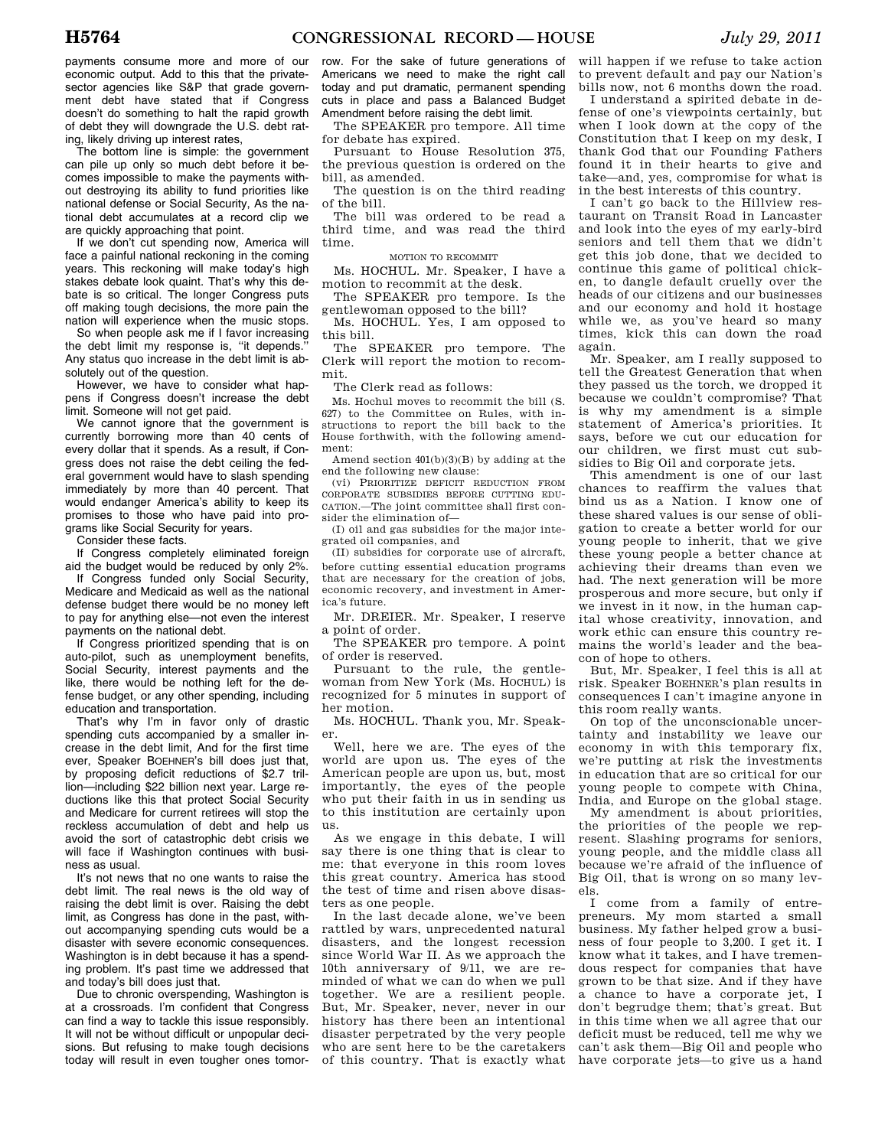payments consume more and more of our economic output. Add to this that the privatesector agencies like S&P that grade government debt have stated that if Congress doesn't do something to halt the rapid growth of debt they will downgrade the U.S. debt rating, likely driving up interest rates,

The bottom line is simple: the government can pile up only so much debt before it becomes impossible to make the payments without destroying its ability to fund priorities like national defense or Social Security, As the national debt accumulates at a record clip we are quickly approaching that point.

If we don't cut spending now, America will face a painful national reckoning in the coming years. This reckoning will make today's high stakes debate look quaint. That's why this debate is so critical. The longer Congress puts off making tough decisions, the more pain the nation will experience when the music stops.

So when people ask me if I favor increasing the debt limit my response is, "it depends." Any status quo increase in the debt limit is absolutely out of the question.

However, we have to consider what happens if Congress doesn't increase the debt limit. Someone will not get paid.

We cannot ignore that the government is currently borrowing more than 40 cents of every dollar that it spends. As a result, if Congress does not raise the debt ceiling the federal government would have to slash spending immediately by more than 40 percent. That would endanger America's ability to keep its promises to those who have paid into programs like Social Security for years.

Consider these facts.

If Congress completely eliminated foreign aid the budget would be reduced by only 2%.

If Congress funded only Social Security, Medicare and Medicaid as well as the national defense budget there would be no money left to pay for anything else—not even the interest payments on the national debt.

If Congress prioritized spending that is on auto-pilot, such as unemployment benefits, Social Security, interest payments and the like, there would be nothing left for the defense budget, or any other spending, including education and transportation.

That's why I'm in favor only of drastic spending cuts accompanied by a smaller increase in the debt limit, And for the first time ever, Speaker BOEHNER's bill does just that, by proposing deficit reductions of \$2.7 trillion—including \$22 billion next year. Large reductions like this that protect Social Security and Medicare for current retirees will stop the reckless accumulation of debt and help us avoid the sort of catastrophic debt crisis we will face if Washington continues with business as usual.

It's not news that no one wants to raise the debt limit. The real news is the old way of raising the debt limit is over. Raising the debt limit, as Congress has done in the past, without accompanying spending cuts would be a disaster with severe economic consequences. Washington is in debt because it has a spending problem. It's past time we addressed that and today's bill does just that.

Due to chronic overspending, Washington is at a crossroads. I'm confident that Congress can find a way to tackle this issue responsibly. It will not be without difficult or unpopular decisions. But refusing to make tough decisions today will result in even tougher ones tomor-

row. For the sake of future generations of Americans we need to make the right call today and put dramatic, permanent spending cuts in place and pass a Balanced Budget Amendment before raising the debt limit.

The SPEAKER pro tempore. All time for debate has expired.

Pursuant to House Resolution 375, the previous question is ordered on the bill, as amended.

The question is on the third reading of the bill.

The bill was ordered to be read a third time, and was read the third time.

MOTION TO RECOMMIT

Ms. HOCHUL. Mr. Speaker, I have a motion to recommit at the desk.

The SPEAKER pro tempore. Is the gentlewoman opposed to the bill?

Ms. HOCHUL. Yes, I am opposed to this bill.

The SPEAKER pro tempore. The Clerk will report the motion to recommit.

The Clerk read as follows:

Ms. Hochul moves to recommit the bill (S. 627) to the Committee on Rules, with instructions to report the bill back to the House forthwith, with the following amendment:

Amend section 401(b)(3)(B) by adding at the end the following new clause:

(vi) PRIORITIZE DEFICIT REDUCTION FROM CORPORATE SUBSIDIES BEFORE CUTTING EDU-CATION.—The joint committee shall first consider the elimination of—

(I) oil and gas subsidies for the major integrated oil companies, and

(II) subsidies for corporate use of aircraft, before cutting essential education programs that are necessary for the creation of jobs, economic recovery, and investment in America's future.

Mr. DREIER. Mr. Speaker, I reserve a point of order.

The SPEAKER pro tempore. A point of order is reserved.

Pursuant to the rule, the gentlewoman from New York (Ms. HOCHUL) is recognized for 5 minutes in support of her motion.

Ms. HOCHUL. Thank you, Mr. Speaker.

Well, here we are. The eyes of the world are upon us. The eyes of the American people are upon us, but, most importantly, the eyes of the people who put their faith in us in sending us to this institution are certainly upon us.

As we engage in this debate, I will say there is one thing that is clear to me: that everyone in this room loves this great country. America has stood the test of time and risen above disasters as one people.

In the last decade alone, we've been rattled by wars, unprecedented natural disasters, and the longest recession since World War II. As we approach the 10th anniversary of 9/11, we are reminded of what we can do when we pull together. We are a resilient people. But, Mr. Speaker, never, never in our history has there been an intentional disaster perpetrated by the very people who are sent here to be the caretakers of this country. That is exactly what

will happen if we refuse to take action to prevent default and pay our Nation's bills now, not 6 months down the road.

I understand a spirited debate in defense of one's viewpoints certainly, but when I look down at the copy of the Constitution that I keep on my desk, I thank God that our Founding Fathers found it in their hearts to give and take—and, yes, compromise for what is in the best interests of this country.

I can't go back to the Hillview restaurant on Transit Road in Lancaster and look into the eyes of my early-bird seniors and tell them that we didn't get this job done, that we decided to continue this game of political chicken, to dangle default cruelly over the heads of our citizens and our businesses and our economy and hold it hostage while we, as you've heard so many times, kick this can down the road again.

Mr. Speaker, am I really supposed to tell the Greatest Generation that when they passed us the torch, we dropped it because we couldn't compromise? That is why my amendment is a simple statement of America's priorities. It says, before we cut our education for our children, we first must cut subsidies to Big Oil and corporate jets.

This amendment is one of our last chances to reaffirm the values that bind us as a Nation. I know one of these shared values is our sense of obligation to create a better world for our young people to inherit, that we give these young people a better chance at achieving their dreams than even we had. The next generation will be more prosperous and more secure, but only if we invest in it now, in the human capital whose creativity, innovation, and work ethic can ensure this country remains the world's leader and the beacon of hope to others.

But, Mr. Speaker, I feel this is all at risk. Speaker BOEHNER's plan results in consequences I can't imagine anyone in this room really wants.

On top of the unconscionable uncertainty and instability we leave our economy in with this temporary fix, we're putting at risk the investments in education that are so critical for our young people to compete with China, India, and Europe on the global stage.

My amendment is about priorities, the priorities of the people we represent. Slashing programs for seniors, young people, and the middle class all because we're afraid of the influence of Big Oil, that is wrong on so many levels.

I come from a family of entrepreneurs. My mom started a small business. My father helped grow a business of four people to 3,200. I get it. I know what it takes, and I have tremendous respect for companies that have grown to be that size. And if they have a chance to have a corporate jet, I don't begrudge them; that's great. But in this time when we all agree that our deficit must be reduced, tell me why we can't ask them—Big Oil and people who have corporate jets—to give us a hand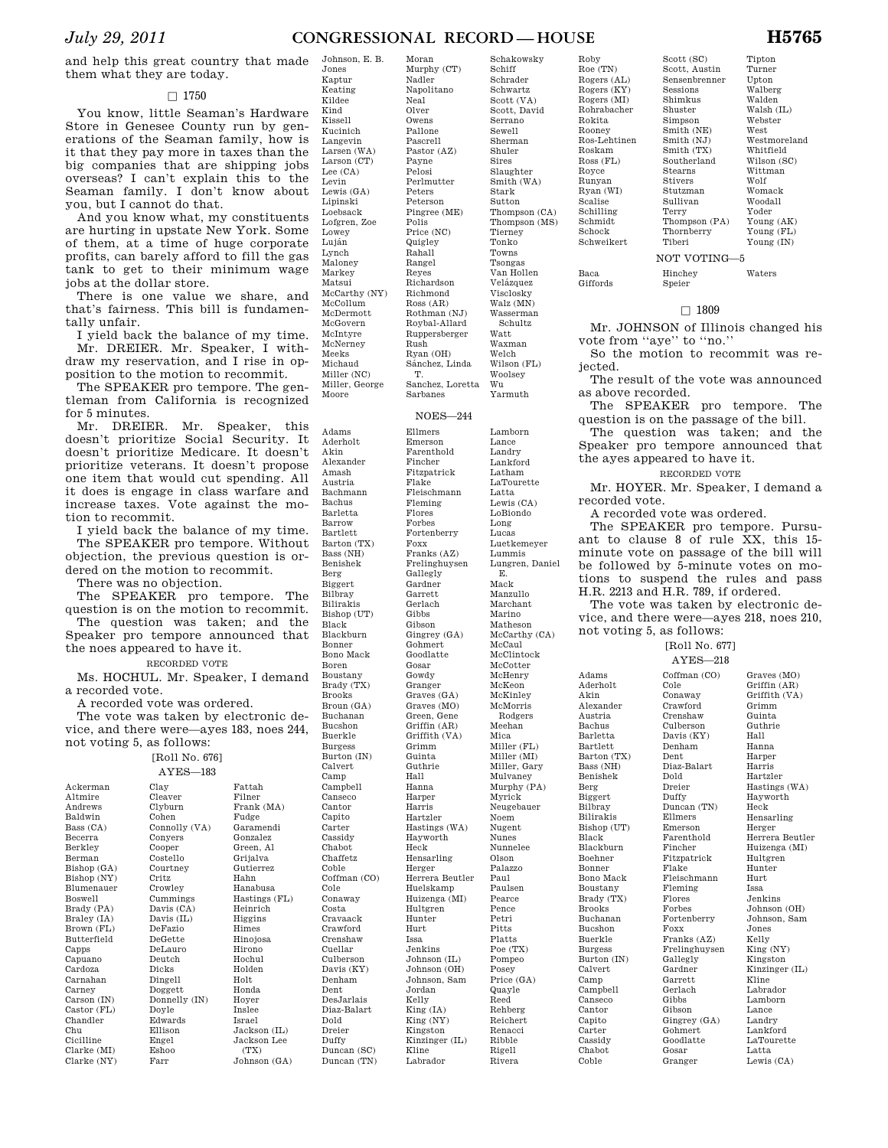and help this great country that made them what they are today.

# $\Box$  1750

You know, little Seaman's Hardware Store in Genesee County run by generations of the Seaman family, how is it that they pay more in taxes than the big companies that are shipping jobs overseas? I can't explain this to the Seaman family. I don't know about you, but I cannot do that.

And you know what, my constituents are hurting in upstate New York. Some of them, at a time of huge corporate profits, can barely afford to fill the gas tank to get to their minimum wage jobs at the dollar store.

There is one value we share, and that's fairness. This bill is fundamentally unfair.

I yield back the balance of my time. Mr. DREIER. Mr. Speaker, I withdraw my reservation, and I rise in opposition to the motion to recommit.

The SPEAKER pro tempore. The gentleman from California is recognized for 5 minutes.

Mr. DREIER. Mr. Speaker, this doesn't prioritize Social Security. It doesn't prioritize Medicare. It doesn't prioritize veterans. It doesn't propose one item that would cut spending. All it does is engage in class warfare and increase taxes. Vote against the motion to recommit.

I yield back the balance of my time. The SPEAKER pro tempore. Without objection, the previous question is ordered on the motion to recommit.

There was no objection.

The SPEAKER pro tempore. The question is on the motion to recommit. The question was taken; and the Speaker pro tempore announced that the noes appeared to have it.

RECORDED VOTE

Ms. HOCHUL. Mr. Speaker, I demand a recorded vote.

A recorded vote was ordered. The vote was taken by electronic device, and there were—ayes 183, noes 244, not voting 5, as follows:

[Roll No. 676]

Clay

Eshoo Farr

Ackerman Altmire Andrews Baldwin Bass (CA) Becerra Berkley Berman Bishop (GA) Bishop (NY) Blumenauer Boswell Brady (PA) Braley (IA) Brown (FL) Butterfield Capps Capuano Cardoza Carnahan Carney Carson (IN) Castor (FL) Chandler Chu Cicilline Clarke (MI) Clarke (NY)

AYES—183 Cleaver Clyburn Cohen Connolly (VA) Conyers Cooper Costello Courtney Critz Crowley Cummings Davis (CA) Davis (IL) DeFazio DeGette DeLauro Deutch Dicks Dingell Doggett Donnelly (IN) Doyle Edwards Ellison Engel Fattah Filner Frank (MA) Fudge Garamendi Gonzalez Green, Al Grijalva Gutierrez Hahn Hanabusa Hastings (FL) Heinrich Higgins Himes Hinojosa Hirono Hochul Holden Holt Honda Hoyer Inslee Israel Jackson (IL) Jackson Lee

> $(TY)$ Johnson (GA)

Jones Kaptur Keating Kildee Kind Kissell Kucinich Langevin Larsen (WA) Larson (CT) Lee (CA) Levin Lewis (GA) Lipinski Loebsack Lofgren, Zoe Lowey Luján Lynch Maloney Markey Matsui McCarthy (NY) McCollum McDermott McGovern McIntyre McNerney Meeks Michaud Miller (NC) Miller, George Moore

Adams Aderholt Akin Alexander Amash Austria Bachmann Bachus Barletta Barrow Bartlett Barton (TX) Bass (NH) Benishek Berg Biggert Bilbray Bilirakis Bishop (UT) Black Blackburn Bonner Bono Mack Boren Boustany Brady (TX) Brooks Broun (GA) Buchanan Bucshon Buerkle Burgess Burton (IN) Calvert Camp Campbell Canseco Cantor Capito Carter Cassidy Chabot Chaffetz Coble Coffman (CO) Cole Conaway Costa Cravaack Crawford Crenshaw Cuellar Culberson Davis (KY) Denham Dent DesJarlais Diaz-Balart Dold Dreier Duffy Duncan (SC) Duncan (TN)

Johnson, E. B.

Napolitano Neal Olver Owens Pallone Pascrell Pastor (AZ) Payne Pelosi Perlmutter Peters Peterson Pingree (ME) Polis Price (NC) Quigley Rahall Rangel Reyes Richardson Richmond Ross (AR) Rothman (NJ) Roybal-Allard Ruppersberger Rush Ryan (OH) Sánchez, Linda T. Sanchez, Loretta Sarbanes NOES—244 Ellmers Emerson Farenthold Fincher Fitzpatrick

Flake Fleischmann Fleming Flores Forbes Fortenberry Foxx Franks (AZ) Frelinghuysen Gallegly Gardner Garrett Gerlach **Gibbs** Gibson Gingrey (GA) Gohmert Goodlatte Gosar Gowdy Granger Graves (GA) Graves (MO) Green, Gene Griffin (AR) Griffith (VA) Grimm Guinta Guthrie Hall Hanna Harper Harris Hartzler Hastings (WA) Hayworth Heck Hensarling Herger Herrera Beutler Huelskamp Huizenga (MI) Hultgren Hunter Hurt Issa Jenkins Johnson (IL) Johnson (OH) Johnson, Sam Jordan Kelly  $\check{\rm King}$  (IA) King (NY) Kingston Kinzinger (IL) Kline Labrador

Scott (VA) Scott, David Serrano Sewell Sherman Shuler Sires Slaughter Smith (WA) Stark Sutton Thompson (CA) Thompson (MS) Tierney Tonko Towns Tsongas Van Hollen Velázquez Visclosky Walz (MN) Wasserman Schultz Watt Waxman Welch Wilson (FL) Woolsey Wu Yarmuth Lamborn Lance Landry Lankford Latham LaTourette Latta Lewis (CA) LoBiondo .<br>Long Lucas Luetkemeyer Lummis Lungren, Daniel E. Mack Manzullo Marchant Marino Matheson McCarthy (CA) McCaul McClintock McCotter McHenry McKeon McKinley McMorris Rodgers Meehan Mica Miller (FL) Miller (MI) Miller, Gary Mulvaney Murphy (PA) Myrick Neugebauer Noem Nugent Nunes Nunnelee Olson Palazzo Paul Paulsen Pearce Pence Petri Pitts

Platts Poe (TX) Pompeo Posey Price (GA) Quayle Reed Rehberg Reichert Renacci Ribble Rigell Rivera

Roby Roe (TN) Rogers (AL) Rogers (KY) Rogers (MI) Rohrabacher Rokita Rooney Ros-Lehtinen Roskam Ross (FL) Royce Runyan Ryan (WI) Scalise Schilling Schmidt Schock Schweikert

> Baca Giffords

Adams

Akin

Berg

Black

Camp

Cantor Capito Carter

Coble

Scott (SC) Scott, Austin Sensenbrenner Sessions Shimkus Shuster Simpson Smith (NE) Smith (NJ) Smith (TX) Southerland Stearns Stivers Stutzman Sullivan Terry Thompson (PA) Thornberry Tiberi NOT VOTING—5 Hinchey

Tipton Turner Upton Walberg Walden Walsh (IL) Webster West Westmoreland Whitfield Wilson (SC) Wittman Wolf Womack Woodall Yoder Young (AK) Young (FL) Young (IN)

Waters

Speier

# $\Box$  1809

Mr. JOHNSON of Illinois changed his vote from ''aye'' to ''no.''

So the motion to recommit was rejected.

The result of the vote was announced as above recorded.

The SPEAKER pro tempore. The question is on the passage of the bill.

The question was taken; and the Speaker pro tempore announced that the ayes appeared to have it.

RECORDED VOTE

Mr. HOYER. Mr. Speaker, I demand a recorded vote.

A recorded vote was ordered.

The SPEAKER pro tempore. Pursuant to clause 8 of rule XX, this 15 minute vote on passage of the bill will be followed by 5-minute votes on motions to suspend the rules and pass H.R. 2213 and H.R. 789, if ordered.

The vote was taken by electronic device, and there were—ayes 218, noes 210, not voting 5, as follows:

> [Roll No. 677] AYES—218

Aderholt Alexander Austria Bachus Barletta Bartlett Barton (TX) Bass (NH) Benishek Biggert Bilbray Bilirakis Bishop (UT) Blackburn Boehner Bonner Bono Mack Boustany Brady (TX) Brooks Buchanan Bucshon Buerkle Burgess Burton (IN) Calvert Campbell Canseco Cassidy Chabot Coffman (CO) Cole Conaway Crawford Crenshaw Culberson Davis (KY) Denham Dent Diaz-Balart Dold Dreier Duffy Duncan (TN) Ellmers Emerson Farenthold Fincher Fitzpatrick Flake Fleischmann Fleming Flores Forbes Fortenberry Foxx Franks (AZ) Frelinghuysen Gallegly Gardner Garrett Gerlach Gibbs Gibson Gingrey (GA) Gohmert Goodlatte Gosar Granger

Graves (MO) Griffin (AR) Griffith (VA) Grimm Guinta Guthrie Hall Hanna Harper Harris Hartzler Hastings (WA) Hayworth Heck Hensarling Herger Herrera Beutler Huizenga (MI) Hultgren Hunter Hurt Issa Jenkins Johnson (OH) Johnson, Sam Jones Kelly  $\widetilde{\rm King}~({\rm NY})$ Kingston Kinzinger (IL) Kline Labrador Lamborn Lance Landry Lankford LaTourette Latta Lewis (CA)

Schakowsky Schiff Schrader Schwartz

Moran Murphy (CT) Nadler